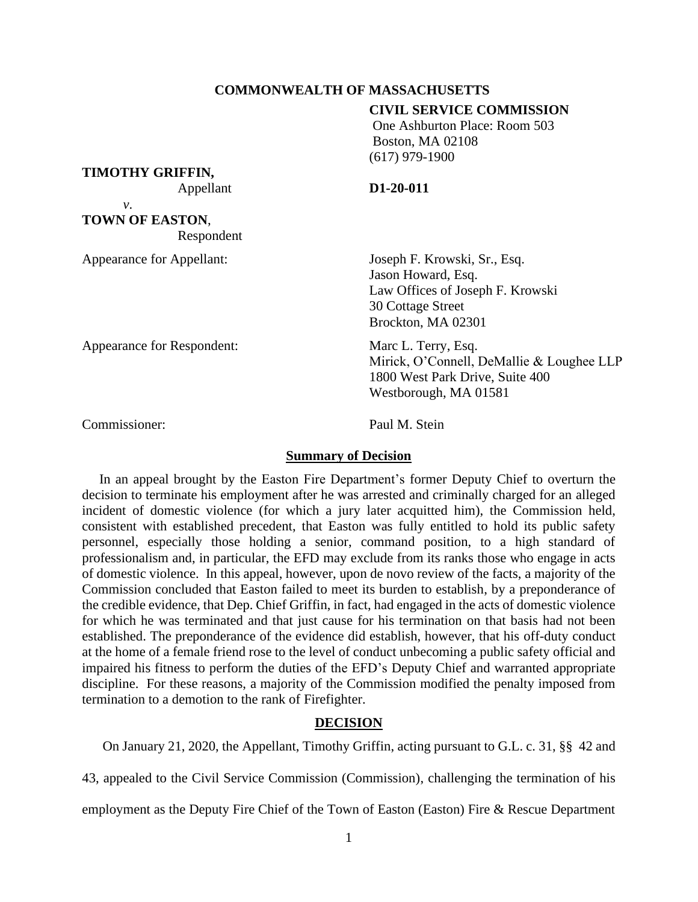## **COMMONWEALTH OF MASSACHUSETTS**

#### **CIVIL SERVICE COMMISSION**

One Ashburton Place: Room 503 Boston, MA 02108 (617) 979-1900

### **TIMOTHY GRIFFIN,**

Appellant **D1-20-011**

*v*. **TOWN OF EASTON**, Respondent

Appearance for Appellant: Joseph F. Krowski, Sr., Esq.

Jason Howard, Esq. Law Offices of Joseph F. Krowski 30 Cottage Street Brockton, MA 02301

Appearance for Respondent: Marc L. Terry, Esq. Mirick, O'Connell, DeMallie & Loughee LLP 1800 West Park Drive, Suite 400 Westborough, MA 01581

Commissioner: Paul M. Stein

#### **Summary of Decision**

In an appeal brought by the Easton Fire Department's former Deputy Chief to overturn the decision to terminate his employment after he was arrested and criminally charged for an alleged incident of domestic violence (for which a jury later acquitted him), the Commission held, consistent with established precedent, that Easton was fully entitled to hold its public safety personnel, especially those holding a senior, command position, to a high standard of professionalism and, in particular, the EFD may exclude from its ranks those who engage in acts of domestic violence. In this appeal, however, upon de novo review of the facts, a majority of the Commission concluded that Easton failed to meet its burden to establish, by a preponderance of the credible evidence, that Dep. Chief Griffin, in fact, had engaged in the acts of domestic violence for which he was terminated and that just cause for his termination on that basis had not been established. The preponderance of the evidence did establish, however, that his off-duty conduct at the home of a female friend rose to the level of conduct unbecoming a public safety official and impaired his fitness to perform the duties of the EFD's Deputy Chief and warranted appropriate discipline. For these reasons, a majority of the Commission modified the penalty imposed from termination to a demotion to the rank of Firefighter.

## **DECISION**

On January 21, 2020, the Appellant, Timothy Griffin, acting pursuant to G.L. c. 31, §§ 42 and

43, appealed to the Civil Service Commission (Commission), challenging the termination of his

employment as the Deputy Fire Chief of the Town of Easton (Easton) Fire & Rescue Department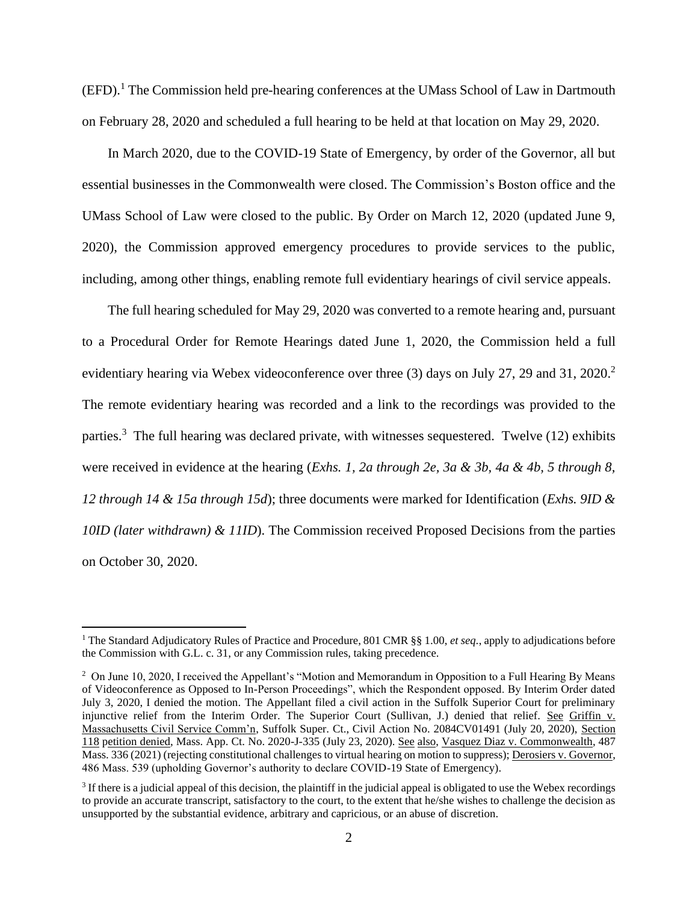(EFD).<sup>1</sup> The Commission held pre-hearing conferences at the UMass School of Law in Dartmouth on February 28, 2020 and scheduled a full hearing to be held at that location on May 29, 2020.

In March 2020, due to the COVID-19 State of Emergency, by order of the Governor, all but essential businesses in the Commonwealth were closed. The Commission's Boston office and the UMass School of Law were closed to the public. By Order on March 12, 2020 (updated June 9, 2020), the Commission approved emergency procedures to provide services to the public, including, among other things, enabling remote full evidentiary hearings of civil service appeals.

The full hearing scheduled for May 29, 2020 was converted to a remote hearing and, pursuant to a Procedural Order for Remote Hearings dated June 1, 2020, the Commission held a full evidentiary hearing via Webex videoconference over three (3) days on July 27, 29 and 31, 2020.<sup>2</sup> The remote evidentiary hearing was recorded and a link to the recordings was provided to the parties.<sup>3</sup> The full hearing was declared private, with witnesses sequestered. Twelve  $(12)$  exhibits were received in evidence at the hearing (*Exhs. 1, 2a through 2e, 3a & 3b, 4a & 4b, 5 through 8, 12 through 14 & 15a through 15d*); three documents were marked for Identification (*Exhs. 9ID & 10ID (later withdrawn) & 11ID*). The Commission received Proposed Decisions from the parties on October 30, 2020.

<sup>&</sup>lt;sup>1</sup> The Standard Adjudicatory Rules of Practice and Procedure, 801 CMR §§ 1.00, *et seq.*, apply to adjudications before the Commission with G.L. c. 31, or any Commission rules, taking precedence.

<sup>&</sup>lt;sup>2</sup> On June 10, 2020, I received the Appellant's "Motion and Memorandum in Opposition to a Full Hearing By Means of Videoconference as Opposed to In-Person Proceedings", which the Respondent opposed. By Interim Order dated July 3, 2020, I denied the motion. The Appellant filed a civil action in the Suffolk Superior Court for preliminary injunctive relief from the Interim Order. The Superior Court (Sullivan, J.) denied that relief. See Griffin v. Massachusetts Civil Service Comm'n, Suffolk Super. Ct., Civil Action No. 2084CV01491 (July 20, 2020), Section 118 petition denied, Mass. App. Ct. No. 2020-J-335 (July 23, 2020). See also, Vasquez Diaz v. Commonwealth, 487 Mass. 336 (2021) (rejecting constitutional challenges to virtual hearing on motion to suppress); Derosiers v. Governor, 486 Mass. 539 (upholding Governor's authority to declare COVID-19 State of Emergency).

 $3$  If there is a judicial appeal of this decision, the plaintiff in the judicial appeal is obligated to use the Webex recordings to provide an accurate transcript, satisfactory to the court, to the extent that he/she wishes to challenge the decision as unsupported by the substantial evidence, arbitrary and capricious, or an abuse of discretion.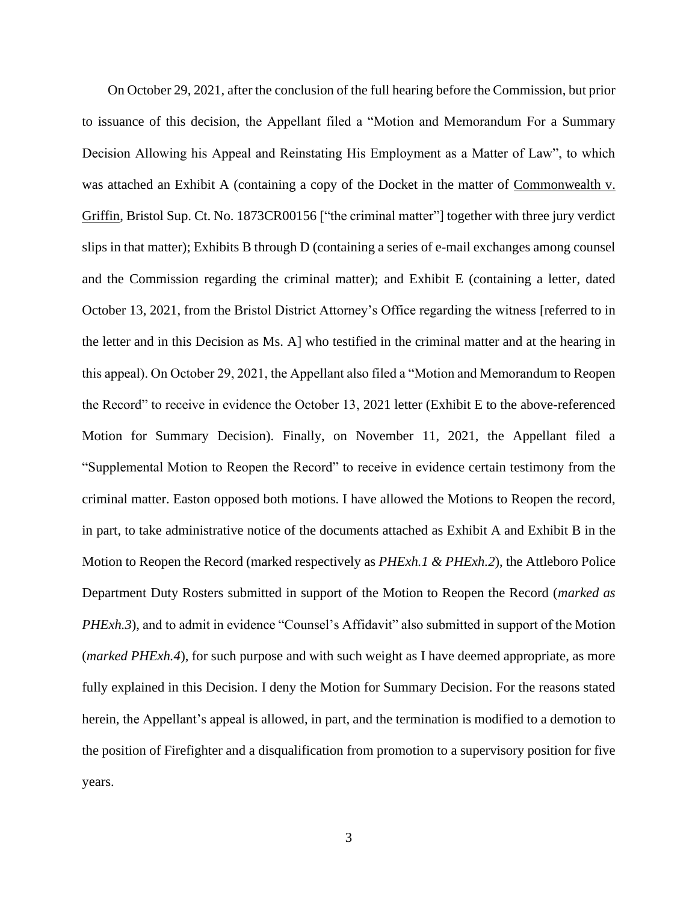On October 29, 2021, after the conclusion of the full hearing before the Commission, but prior to issuance of this decision, the Appellant filed a "Motion and Memorandum For a Summary Decision Allowing his Appeal and Reinstating His Employment as a Matter of Law", to which was attached an Exhibit A (containing a copy of the Docket in the matter of Commonwealth v. Griffin, Bristol Sup. Ct. No. 1873CR00156 ["the criminal matter"] together with three jury verdict slips in that matter); Exhibits B through D (containing a series of e-mail exchanges among counsel and the Commission regarding the criminal matter); and Exhibit E (containing a letter, dated October 13, 2021, from the Bristol District Attorney's Office regarding the witness [referred to in the letter and in this Decision as Ms. A] who testified in the criminal matter and at the hearing in this appeal). On October 29, 2021, the Appellant also filed a "Motion and Memorandum to Reopen the Record" to receive in evidence the October 13, 2021 letter (Exhibit E to the above-referenced Motion for Summary Decision). Finally, on November 11, 2021, the Appellant filed a "Supplemental Motion to Reopen the Record" to receive in evidence certain testimony from the criminal matter. Easton opposed both motions. I have allowed the Motions to Reopen the record, in part, to take administrative notice of the documents attached as Exhibit A and Exhibit B in the Motion to Reopen the Record (marked respectively as *PHExh.1 & PHExh.2*), the Attleboro Police Department Duty Rosters submitted in support of the Motion to Reopen the Record (*marked as PHExh.3*), and to admit in evidence "Counsel's Affidavit" also submitted in support of the Motion (*marked PHExh.4*), for such purpose and with such weight as I have deemed appropriate, as more fully explained in this Decision. I deny the Motion for Summary Decision. For the reasons stated herein, the Appellant's appeal is allowed, in part, and the termination is modified to a demotion to the position of Firefighter and a disqualification from promotion to a supervisory position for five years.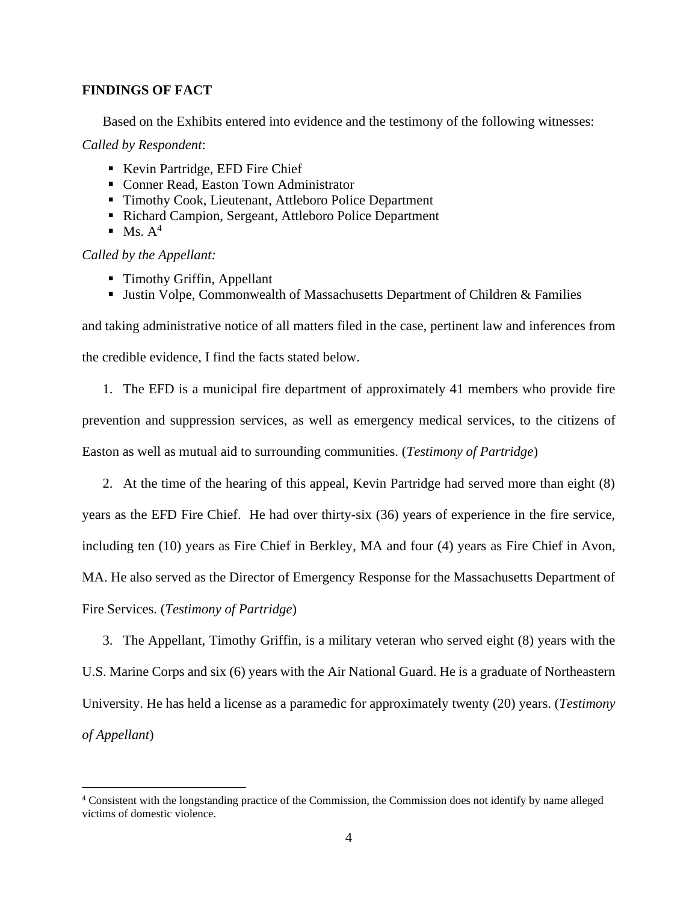## **FINDINGS OF FACT**

Based on the Exhibits entered into evidence and the testimony of the following witnesses:

*Called by Respondent*:

- Kevin Partridge, EFD Fire Chief
- Conner Read, Easton Town Administrator
- Timothy Cook, Lieutenant, Attleboro Police Department
- Richard Campion, Sergeant, Attleboro Police Department
- $\blacksquare$  Ms.  $A^4$

*Called by the Appellant:*

- Timothy Griffin, Appellant
- **Justin Volpe, Commonwealth of Massachusetts Department of Children & Families**

and taking administrative notice of all matters filed in the case, pertinent law and inferences from the credible evidence, I find the facts stated below.

- 1. The EFD is a municipal fire department of approximately 41 members who provide fire prevention and suppression services, as well as emergency medical services, to the citizens of Easton as well as mutual aid to surrounding communities. (*Testimony of Partridge*)
- 2. At the time of the hearing of this appeal, Kevin Partridge had served more than eight (8) years as the EFD Fire Chief. He had over thirty-six (36) years of experience in the fire service, including ten (10) years as Fire Chief in Berkley, MA and four (4) years as Fire Chief in Avon, MA. He also served as the Director of Emergency Response for the Massachusetts Department of Fire Services. (*Testimony of Partridge*)

3. The Appellant, Timothy Griffin, is a military veteran who served eight (8) years with the U.S. Marine Corps and six (6) years with the Air National Guard. He is a graduate of Northeastern University. He has held a license as a paramedic for approximately twenty (20) years. (*Testimony of Appellant*)

<sup>4</sup> Consistent with the longstanding practice of the Commission, the Commission does not identify by name alleged victims of domestic violence.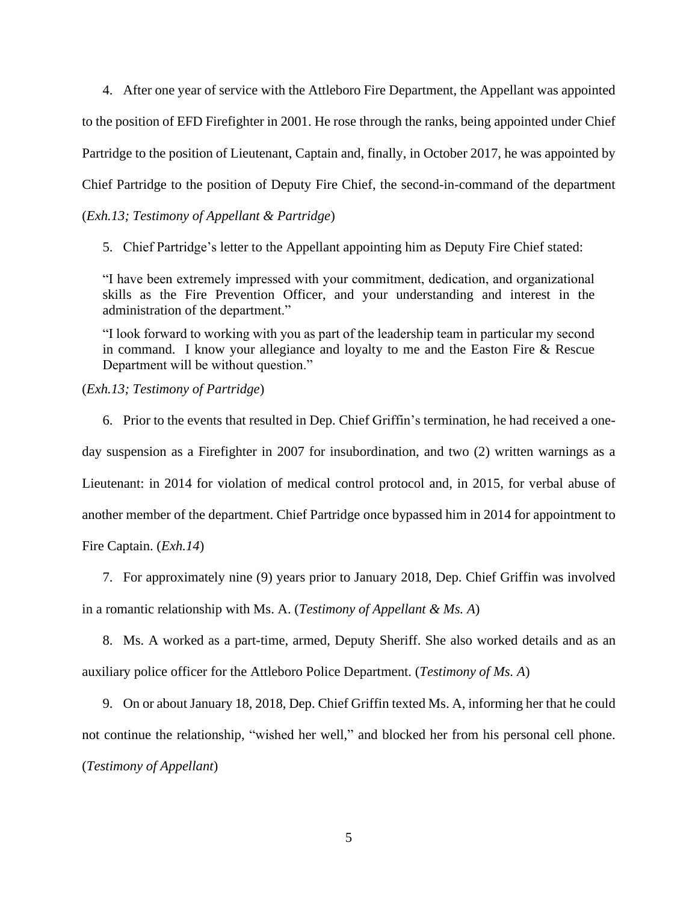4. After one year of service with the Attleboro Fire Department, the Appellant was appointed to the position of EFD Firefighter in 2001. He rose through the ranks, being appointed under Chief Partridge to the position of Lieutenant, Captain and, finally, in October 2017, he was appointed by Chief Partridge to the position of Deputy Fire Chief, the second-in-command of the department (*Exh.13; Testimony of Appellant & Partridge*)

5. Chief Partridge's letter to the Appellant appointing him as Deputy Fire Chief stated:

"I have been extremely impressed with your commitment, dedication, and organizational skills as the Fire Prevention Officer, and your understanding and interest in the administration of the department."

"I look forward to working with you as part of the leadership team in particular my second in command. I know your allegiance and loyalty to me and the Easton Fire & Rescue Department will be without question."

(*Exh.13; Testimony of Partridge*)

6. Prior to the events that resulted in Dep. Chief Griffin's termination, he had received a oneday suspension as a Firefighter in 2007 for insubordination, and two (2) written warnings as a Lieutenant: in 2014 for violation of medical control protocol and, in 2015, for verbal abuse of another member of the department. Chief Partridge once bypassed him in 2014 for appointment to Fire Captain. (*Exh.14*)

7. For approximately nine (9) years prior to January 2018, Dep. Chief Griffin was involved in a romantic relationship with Ms. A. (*Testimony of Appellant & Ms. A*)

8. Ms. A worked as a part-time, armed, Deputy Sheriff. She also worked details and as an auxiliary police officer for the Attleboro Police Department. (*Testimony of Ms. A*)

9. On or about January 18, 2018, Dep. Chief Griffin texted Ms. A, informing her that he could not continue the relationship, "wished her well," and blocked her from his personal cell phone. (*Testimony of Appellant*)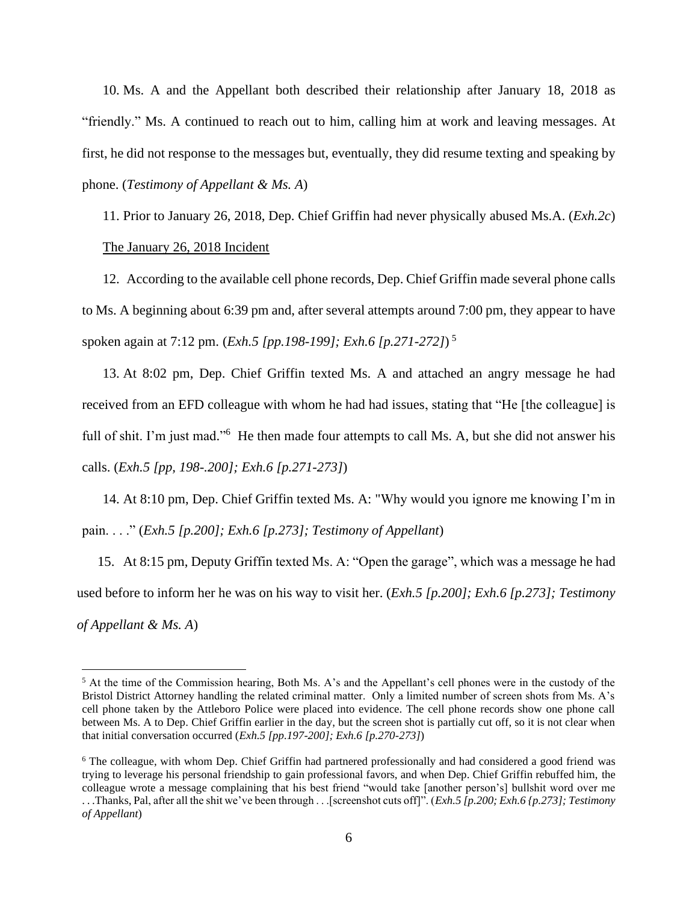10. Ms. A and the Appellant both described their relationship after January 18, 2018 as "friendly." Ms. A continued to reach out to him, calling him at work and leaving messages. At first, he did not response to the messages but, eventually, they did resume texting and speaking by phone. (*Testimony of Appellant & Ms. A*)

11. Prior to January 26, 2018, Dep. Chief Griffin had never physically abused Ms.A. (*Exh.2c*) The January 26, 2018 Incident

12. According to the available cell phone records, Dep. Chief Griffin made several phone calls to Ms. A beginning about 6:39 pm and, after several attempts around 7:00 pm, they appear to have spoken again at 7:12 pm. (*Exh.5 [pp.198-199]; Exh.6 [p.271-272]*) 5

13. At 8:02 pm, Dep. Chief Griffin texted Ms. A and attached an angry message he had received from an EFD colleague with whom he had had issues, stating that "He [the colleague] is full of shit. I'm just mad."<sup>6</sup> He then made four attempts to call Ms. A, but she did not answer his calls. (*Exh.5 [pp, 198-.200]; Exh.6 [p.271-273]*)

14. At 8:10 pm, Dep. Chief Griffin texted Ms. A: "Why would you ignore me knowing I'm in pain. . . ." (*Exh.5 [p.200]; Exh.6 [p.273]; Testimony of Appellant*)

15. At 8:15 pm, Deputy Griffin texted Ms. A: "Open the garage", which was a message he had used before to inform her he was on his way to visit her. (*Exh.5 [p.200]; Exh.6 [p.273]; Testimony of Appellant & Ms. A*)

<sup>&</sup>lt;sup>5</sup> At the time of the Commission hearing, Both Ms. A's and the Appellant's cell phones were in the custody of the Bristol District Attorney handling the related criminal matter. Only a limited number of screen shots from Ms. A's cell phone taken by the Attleboro Police were placed into evidence. The cell phone records show one phone call between Ms. A to Dep. Chief Griffin earlier in the day, but the screen shot is partially cut off, so it is not clear when that initial conversation occurred (*Exh.5 [pp.197-200]; Exh.6 [p.270-273]*)

<sup>6</sup> The colleague, with whom Dep. Chief Griffin had partnered professionally and had considered a good friend was trying to leverage his personal friendship to gain professional favors, and when Dep. Chief Griffin rebuffed him, the colleague wrote a message complaining that his best friend "would take [another person's] bullshit word over me . . .Thanks, Pal, after all the shit we've been through . . .[screenshot cuts off]". (*Exh.5 [p.200; Exh.6 {p.273]; Testimony of Appellant*)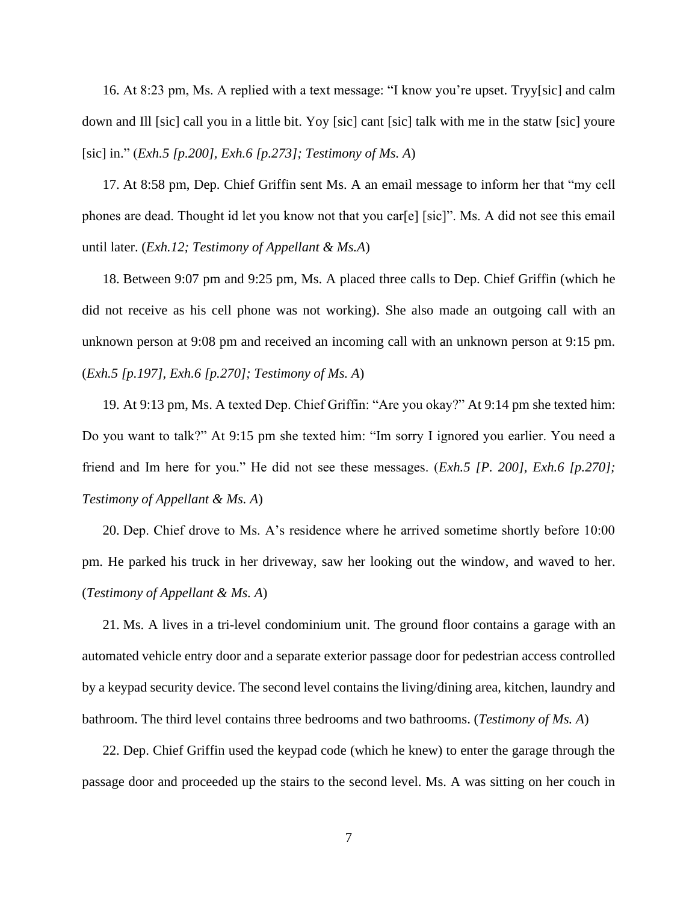16. At 8:23 pm, Ms. A replied with a text message: "I know you're upset. Tryy[sic] and calm down and Ill [sic] call you in a little bit. Yoy [sic] cant [sic] talk with me in the statw [sic] youre [sic] in." (*Exh.5 [p.200], Exh.6 [p.273]; Testimony of Ms. A*)

17. At 8:58 pm, Dep. Chief Griffin sent Ms. A an email message to inform her that "my cell phones are dead. Thought id let you know not that you car[e] [sic]". Ms. A did not see this email until later. (*Exh.12; Testimony of Appellant & Ms.A*)

18. Between 9:07 pm and 9:25 pm, Ms. A placed three calls to Dep. Chief Griffin (which he did not receive as his cell phone was not working). She also made an outgoing call with an unknown person at 9:08 pm and received an incoming call with an unknown person at 9:15 pm. (*Exh.5 [p.197], Exh.6 [p.270]; Testimony of Ms. A*)

19. At 9:13 pm, Ms. A texted Dep. Chief Griffin: "Are you okay?" At 9:14 pm she texted him: Do you want to talk?" At 9:15 pm she texted him: "Im sorry I ignored you earlier. You need a friend and Im here for you." He did not see these messages. (*Exh.5 [P. 200], Exh.6 [p.270]; Testimony of Appellant & Ms. A*)

20. Dep. Chief drove to Ms. A's residence where he arrived sometime shortly before 10:00 pm. He parked his truck in her driveway, saw her looking out the window, and waved to her. (*Testimony of Appellant & Ms. A*)

21. Ms. A lives in a tri-level condominium unit. The ground floor contains a garage with an automated vehicle entry door and a separate exterior passage door for pedestrian access controlled by a keypad security device. The second level contains the living/dining area, kitchen, laundry and bathroom. The third level contains three bedrooms and two bathrooms. (*Testimony of Ms. A*)

22. Dep. Chief Griffin used the keypad code (which he knew) to enter the garage through the passage door and proceeded up the stairs to the second level. Ms. A was sitting on her couch in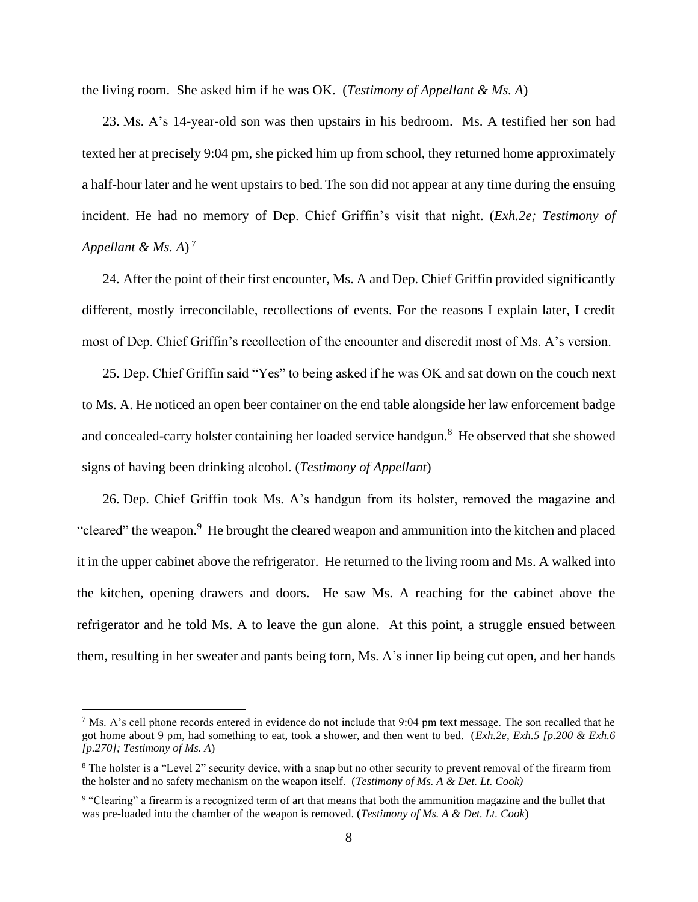the living room. She asked him if he was OK. (*Testimony of Appellant & Ms. A*)

23. Ms. A's 14-year-old son was then upstairs in his bedroom. Ms. A testified her son had texted her at precisely 9:04 pm, she picked him up from school, they returned home approximately a half-hour later and he went upstairs to bed. The son did not appear at any time during the ensuing incident. He had no memory of Dep. Chief Griffin's visit that night. (*Exh.2e; Testimony of Appellant & Ms. A*) 7

24. After the point of their first encounter, Ms. A and Dep. Chief Griffin provided significantly different, mostly irreconcilable, recollections of events. For the reasons I explain later, I credit most of Dep. Chief Griffin's recollection of the encounter and discredit most of Ms. A's version.

25. Dep. Chief Griffin said "Yes" to being asked if he was OK and sat down on the couch next to Ms. A. He noticed an open beer container on the end table alongside her law enforcement badge and concealed-carry holster containing her loaded service handgun.<sup>8</sup> He observed that she showed signs of having been drinking alcohol. (*Testimony of Appellant*)

26. Dep. Chief Griffin took Ms. A's handgun from its holster, removed the magazine and "cleared" the weapon.<sup>9</sup> He brought the cleared weapon and ammunition into the kitchen and placed it in the upper cabinet above the refrigerator. He returned to the living room and Ms. A walked into the kitchen, opening drawers and doors. He saw Ms. A reaching for the cabinet above the refrigerator and he told Ms. A to leave the gun alone. At this point, a struggle ensued between them, resulting in her sweater and pants being torn, Ms. A's inner lip being cut open, and her hands

<sup>&</sup>lt;sup>7</sup> Ms. A's cell phone records entered in evidence do not include that 9:04 pm text message. The son recalled that he got home about 9 pm, had something to eat, took a shower, and then went to bed. (*Exh.2e, Exh.5 [p.200 & Exh.6 [p.270]; Testimony of Ms. A*)

<sup>8</sup> The holster is a "Level 2" security device, with a snap but no other security to prevent removal of the firearm from the holster and no safety mechanism on the weapon itself. (*Testimony of Ms. A & Det. Lt. Cook)*

<sup>&</sup>lt;sup>9</sup> "Clearing" a firearm is a recognized term of art that means that both the ammunition magazine and the bullet that was pre-loaded into the chamber of the weapon is removed. (*Testimony of Ms. A & Det. Lt. Cook*)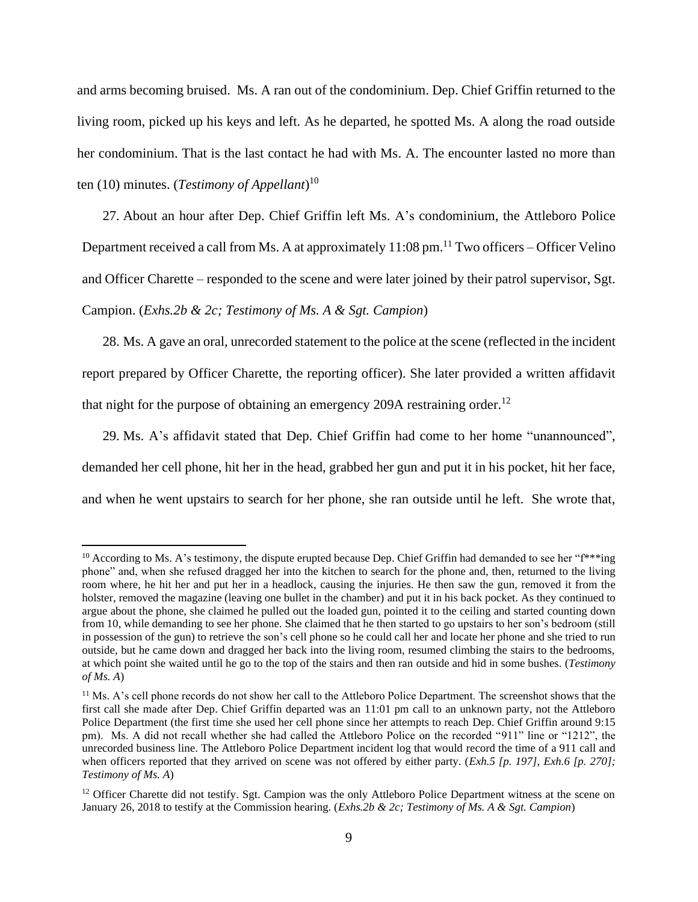and arms becoming bruised. Ms. A ran out of the condominium. Dep. Chief Griffin returned to the living room, picked up his keys and left. As he departed, he spotted Ms. A along the road outside her condominium. That is the last contact he had with Ms. A. The encounter lasted no more than ten (10) minutes. (*Testimony of Appellant*) 10

27. About an hour after Dep. Chief Griffin left Ms. A's condominium, the Attleboro Police Department received a call from Ms. A at approximately 11:08 pm.<sup>11</sup> Two officers – Officer Velino and Officer Charette – responded to the scene and were later joined by their patrol supervisor, Sgt. Campion. (*Exhs.2b & 2c; Testimony of Ms. A & Sgt. Campion*)

28. Ms. A gave an oral, unrecorded statement to the police at the scene (reflected in the incident report prepared by Officer Charette, the reporting officer). She later provided a written affidavit that night for the purpose of obtaining an emergency 209A restraining order.<sup>12</sup>

29. Ms. A's affidavit stated that Dep. Chief Griffin had come to her home "unannounced", demanded her cell phone, hit her in the head, grabbed her gun and put it in his pocket, hit her face, and when he went upstairs to search for her phone, she ran outside until he left. She wrote that,

<sup>&</sup>lt;sup>10</sup> According to Ms. A's testimony, the dispute erupted because Dep. Chief Griffin had demanded to see her " $f^{***}$ ing phone" and, when she refused dragged her into the kitchen to search for the phone and, then, returned to the living room where, he hit her and put her in a headlock, causing the injuries. He then saw the gun, removed it from the holster, removed the magazine (leaving one bullet in the chamber) and put it in his back pocket. As they continued to argue about the phone, she claimed he pulled out the loaded gun, pointed it to the ceiling and started counting down from 10, while demanding to see her phone. She claimed that he then started to go upstairs to her son's bedroom (still in possession of the gun) to retrieve the son's cell phone so he could call her and locate her phone and she tried to run outside, but he came down and dragged her back into the living room, resumed climbing the stairs to the bedrooms, at which point she waited until he go to the top of the stairs and then ran outside and hid in some bushes. (*Testimony of Ms. A*)

<sup>&</sup>lt;sup>11</sup> Ms. A's cell phone records do not show her call to the Attleboro Police Department. The screenshot shows that the first call she made after Dep. Chief Griffin departed was an 11:01 pm call to an unknown party, not the Attleboro Police Department (the first time she used her cell phone since her attempts to reach Dep. Chief Griffin around 9:15 pm). Ms. A did not recall whether she had called the Attleboro Police on the recorded "911" line or "1212", the unrecorded business line. The Attleboro Police Department incident log that would record the time of a 911 call and when officers reported that they arrived on scene was not offered by either party. (*Exh.5 [p. 197], Exh.6 [p. 270]; Testimony of Ms. A*)

 $12$  Officer Charette did not testify. Sgt. Campion was the only Attleboro Police Department witness at the scene on January 26, 2018 to testify at the Commission hearing. (*Exhs.2b & 2c; Testimony of Ms. A & Sgt. Campion*)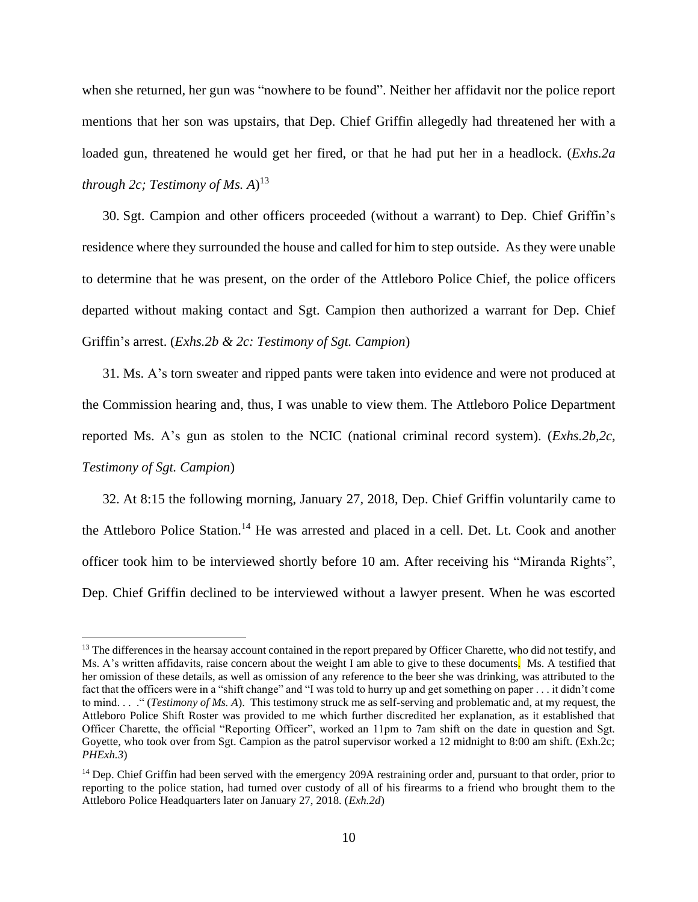when she returned, her gun was "nowhere to be found". Neither her affidavit nor the police report mentions that her son was upstairs, that Dep. Chief Griffin allegedly had threatened her with a loaded gun, threatened he would get her fired, or that he had put her in a headlock. (*Exhs.2a through 2c; Testimony of Ms. A*) 13

30. Sgt. Campion and other officers proceeded (without a warrant) to Dep. Chief Griffin's residence where they surrounded the house and called for him to step outside. As they were unable to determine that he was present, on the order of the Attleboro Police Chief, the police officers departed without making contact and Sgt. Campion then authorized a warrant for Dep. Chief Griffin's arrest. (*Exhs.2b & 2c: Testimony of Sgt. Campion*)

31. Ms. A's torn sweater and ripped pants were taken into evidence and were not produced at the Commission hearing and, thus, I was unable to view them. The Attleboro Police Department reported Ms. A's gun as stolen to the NCIC (national criminal record system). (*Exhs.2b,2c, Testimony of Sgt. Campion*)

32. At 8:15 the following morning, January 27, 2018, Dep. Chief Griffin voluntarily came to the Attleboro Police Station.<sup>14</sup> He was arrested and placed in a cell. Det. Lt. Cook and another officer took him to be interviewed shortly before 10 am. After receiving his "Miranda Rights", Dep. Chief Griffin declined to be interviewed without a lawyer present. When he was escorted

<sup>&</sup>lt;sup>13</sup> The differences in the hearsay account contained in the report prepared by Officer Charette, who did not testify, and Ms. A's written affidavits, raise concern about the weight I am able to give to these documents. Ms. A testified that her omission of these details, as well as omission of any reference to the beer she was drinking, was attributed to the fact that the officers were in a "shift change" and "I was told to hurry up and get something on paper . . . it didn't come to mind. . . ." (*Testimony of Ms. A*). This testimony struck me as self-serving and problematic and, at my request, the Attleboro Police Shift Roster was provided to me which further discredited her explanation, as it established that Officer Charette, the official "Reporting Officer", worked an 11pm to 7am shift on the date in question and Sgt. Goyette, who took over from Sgt. Campion as the patrol supervisor worked a 12 midnight to 8:00 am shift. (Exh.2c; *PHExh.3*)

<sup>&</sup>lt;sup>14</sup> Dep. Chief Griffin had been served with the emergency 209A restraining order and, pursuant to that order, prior to reporting to the police station, had turned over custody of all of his firearms to a friend who brought them to the Attleboro Police Headquarters later on January 27, 2018. (*Exh.2d*)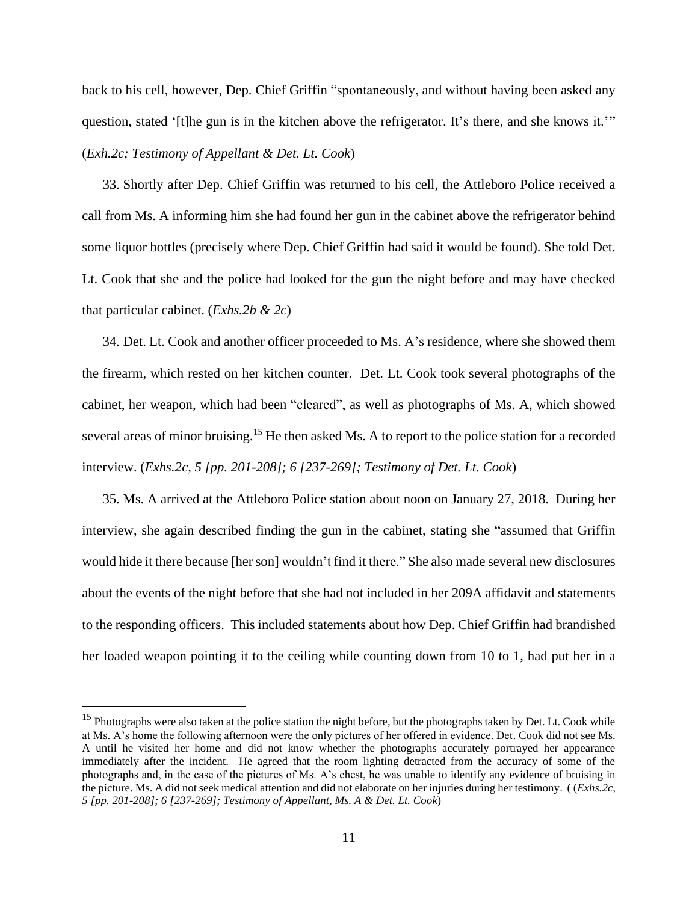back to his cell, however, Dep. Chief Griffin "spontaneously, and without having been asked any question, stated '[t]he gun is in the kitchen above the refrigerator. It's there, and she knows it.'" (*Exh.2c; Testimony of Appellant & Det. Lt. Cook*)

33. Shortly after Dep. Chief Griffin was returned to his cell, the Attleboro Police received a call from Ms. A informing him she had found her gun in the cabinet above the refrigerator behind some liquor bottles (precisely where Dep. Chief Griffin had said it would be found). She told Det. Lt. Cook that she and the police had looked for the gun the night before and may have checked that particular cabinet. (*Exhs.2b & 2c*)

34. Det. Lt. Cook and another officer proceeded to Ms. A's residence, where she showed them the firearm, which rested on her kitchen counter. Det. Lt. Cook took several photographs of the cabinet, her weapon, which had been "cleared", as well as photographs of Ms. A, which showed several areas of minor bruising.<sup>15</sup> He then asked Ms. A to report to the police station for a recorded interview. (*Exhs.2c, 5 [pp. 201-208]; 6 [237-269]; Testimony of Det. Lt. Cook*)

35. Ms. A arrived at the Attleboro Police station about noon on January 27, 2018. During her interview, she again described finding the gun in the cabinet, stating she "assumed that Griffin would hide it there because [her son] wouldn't find it there." She also made several new disclosures about the events of the night before that she had not included in her 209A affidavit and statements to the responding officers. This included statements about how Dep. Chief Griffin had brandished her loaded weapon pointing it to the ceiling while counting down from 10 to 1, had put her in a

<sup>&</sup>lt;sup>15</sup> Photographs were also taken at the police station the night before, but the photographs taken by Det. Lt. Cook while at Ms. A's home the following afternoon were the only pictures of her offered in evidence. Det. Cook did not see Ms. A until he visited her home and did not know whether the photographs accurately portrayed her appearance immediately after the incident. He agreed that the room lighting detracted from the accuracy of some of the photographs and, in the case of the pictures of Ms. A's chest, he was unable to identify any evidence of bruising in the picture. Ms. A did not seek medical attention and did not elaborate on her injuries during her testimony. ( (*Exhs.2c, 5 [pp. 201-208]; 6 [237-269]; Testimony of Appellant, Ms. A & Det. Lt. Cook*)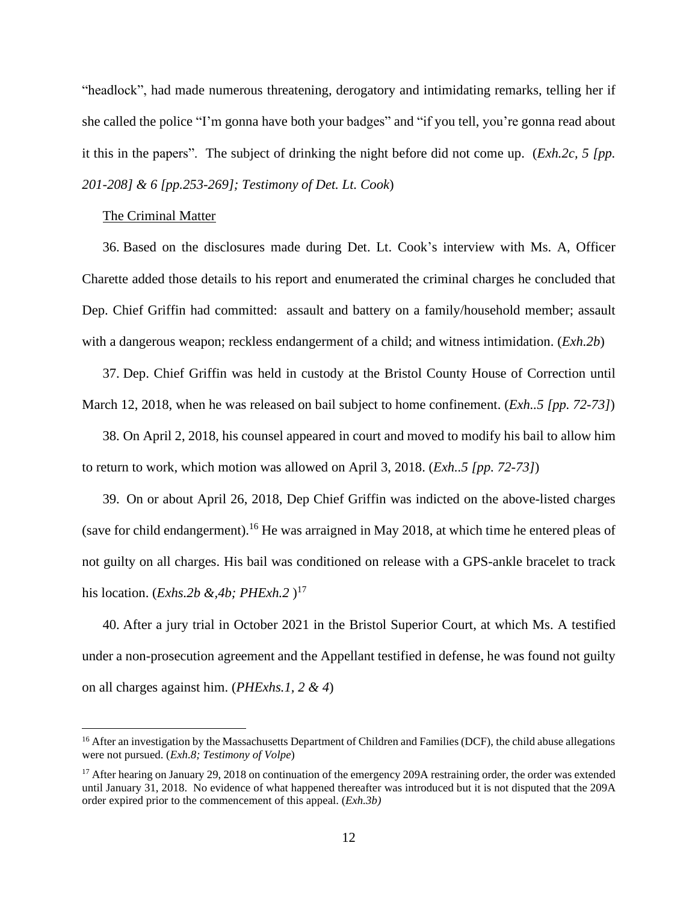"headlock", had made numerous threatening, derogatory and intimidating remarks, telling her if she called the police "I'm gonna have both your badges" and "if you tell, you're gonna read about it this in the papers". The subject of drinking the night before did not come up. (*Exh.2c, 5 [pp. 201-208] & 6 [pp.253-269]; Testimony of Det. Lt. Cook*)

#### The Criminal Matter

36. Based on the disclosures made during Det. Lt. Cook's interview with Ms. A, Officer Charette added those details to his report and enumerated the criminal charges he concluded that Dep. Chief Griffin had committed: assault and battery on a family/household member; assault with a dangerous weapon; reckless endangerment of a child; and witness intimidation. (*Exh.2b*)

37. Dep. Chief Griffin was held in custody at the Bristol County House of Correction until March 12, 2018, when he was released on bail subject to home confinement. (*Exh..5 [pp. 72-73]*)

38. On April 2, 2018, his counsel appeared in court and moved to modify his bail to allow him to return to work, which motion was allowed on April 3, 2018. (*Exh..5 [pp. 72-73]*)

39. On or about April 26, 2018, Dep Chief Griffin was indicted on the above-listed charges (save for child endangerment).<sup>16</sup> He was arraigned in May 2018, at which time he entered pleas of not guilty on all charges. His bail was conditioned on release with a GPS-ankle bracelet to track his location. (*Exhs.2b &,4b; PHExh.2* ) 17

40. After a jury trial in October 2021 in the Bristol Superior Court, at which Ms. A testified under a non-prosecution agreement and the Appellant testified in defense, he was found not guilty on all charges against him. (*PHExhs.1, 2 & 4*)

<sup>&</sup>lt;sup>16</sup> After an investigation by the Massachusetts Department of Children and Families (DCF), the child abuse allegations were not pursued. (*Exh.8; Testimony of Volpe*)

<sup>&</sup>lt;sup>17</sup> After hearing on January 29, 2018 on continuation of the emergency 209A restraining order, the order was extended until January 31, 2018. No evidence of what happened thereafter was introduced but it is not disputed that the 209A order expired prior to the commencement of this appeal. (*Exh.3b)*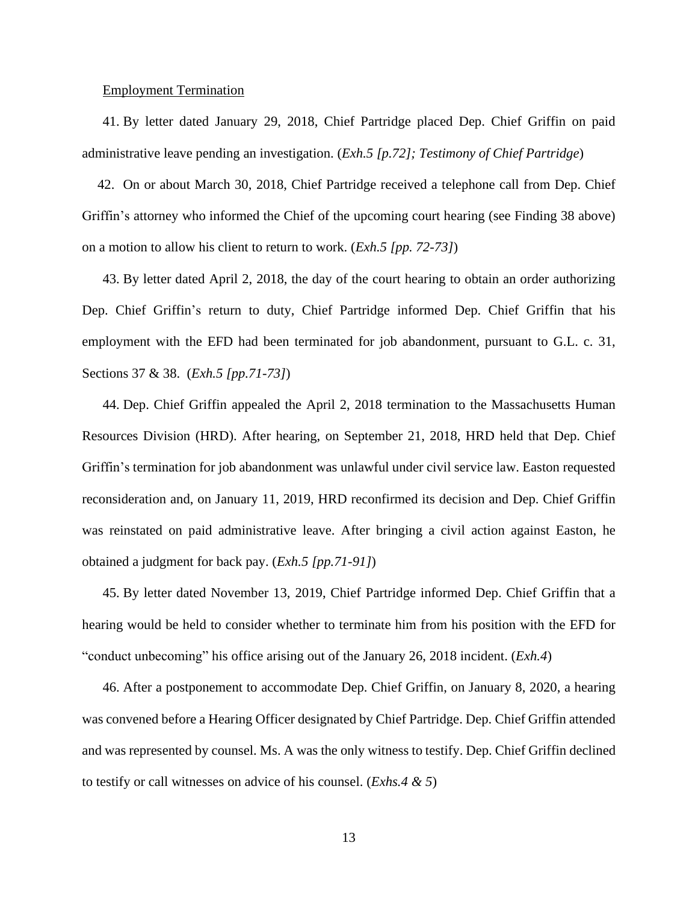#### Employment Termination

41. By letter dated January 29, 2018, Chief Partridge placed Dep. Chief Griffin on paid administrative leave pending an investigation. (*Exh.5 [p.72]; Testimony of Chief Partridge*)

42. On or about March 30, 2018, Chief Partridge received a telephone call from Dep. Chief Griffin's attorney who informed the Chief of the upcoming court hearing (see Finding 38 above) on a motion to allow his client to return to work. (*Exh.5 [pp. 72-73]*)

43. By letter dated April 2, 2018, the day of the court hearing to obtain an order authorizing Dep. Chief Griffin's return to duty, Chief Partridge informed Dep. Chief Griffin that his employment with the EFD had been terminated for job abandonment, pursuant to G.L. c. 31, Sections 37 & 38. (*Exh.5 [pp.71-73]*)

44. Dep. Chief Griffin appealed the April 2, 2018 termination to the Massachusetts Human Resources Division (HRD). After hearing, on September 21, 2018, HRD held that Dep. Chief Griffin's termination for job abandonment was unlawful under civil service law. Easton requested reconsideration and, on January 11, 2019, HRD reconfirmed its decision and Dep. Chief Griffin was reinstated on paid administrative leave. After bringing a civil action against Easton, he obtained a judgment for back pay. (*Exh.5 [pp.71-91]*)

45. By letter dated November 13, 2019, Chief Partridge informed Dep. Chief Griffin that a hearing would be held to consider whether to terminate him from his position with the EFD for "conduct unbecoming" his office arising out of the January 26, 2018 incident. (*Exh.4*)

46. After a postponement to accommodate Dep. Chief Griffin, on January 8, 2020, a hearing was convened before a Hearing Officer designated by Chief Partridge. Dep. Chief Griffin attended and was represented by counsel. Ms. A was the only witness to testify. Dep. Chief Griffin declined to testify or call witnesses on advice of his counsel. (*Exhs.4 & 5*)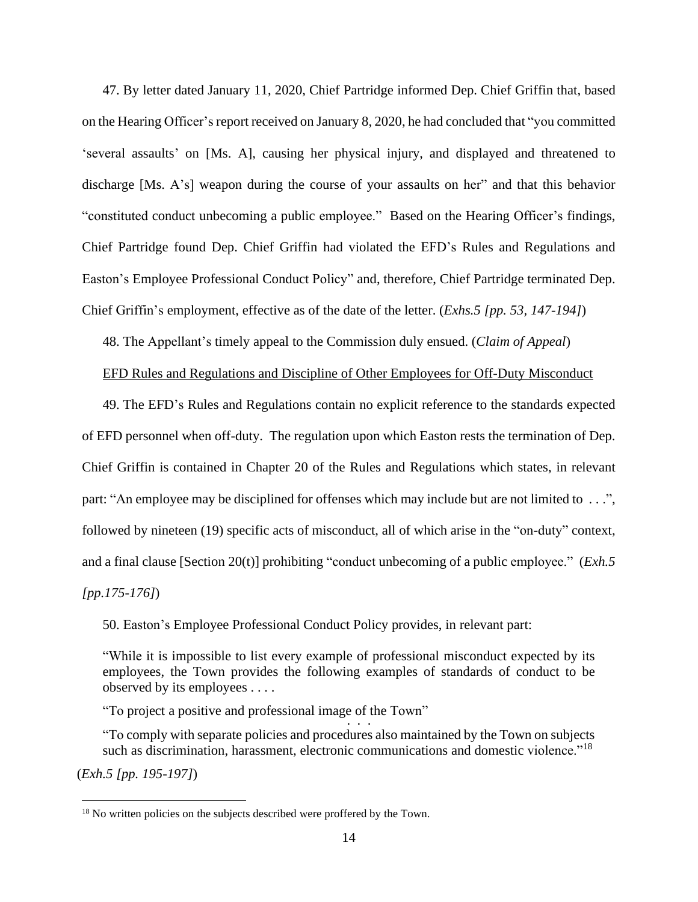47. By letter dated January 11, 2020, Chief Partridge informed Dep. Chief Griffin that, based on the Hearing Officer's report received on January 8, 2020, he had concluded that "you committed" 'several assaults' on [Ms. A], causing her physical injury, and displayed and threatened to discharge [Ms. A's] weapon during the course of your assaults on her" and that this behavior "constituted conduct unbecoming a public employee." Based on the Hearing Officer's findings, Chief Partridge found Dep. Chief Griffin had violated the EFD's Rules and Regulations and Easton's Employee Professional Conduct Policy" and, therefore, Chief Partridge terminated Dep. Chief Griffin's employment, effective as of the date of the letter. (*Exhs.5 [pp. 53, 147-194]*)

48. The Appellant's timely appeal to the Commission duly ensued. (*Claim of Appeal*)

#### EFD Rules and Regulations and Discipline of Other Employees for Off-Duty Misconduct

49. The EFD's Rules and Regulations contain no explicit reference to the standards expected of EFD personnel when off-duty. The regulation upon which Easton rests the termination of Dep. Chief Griffin is contained in Chapter 20 of the Rules and Regulations which states, in relevant part: "An employee may be disciplined for offenses which may include but are not limited to ...", followed by nineteen (19) specific acts of misconduct, all of which arise in the "on-duty" context, and a final clause [Section 20(t)] prohibiting "conduct unbecoming of a public employee." (*Exh.5 [pp.175-176]*)

50. Easton's Employee Professional Conduct Policy provides, in relevant part:

"While it is impossible to list every example of professional misconduct expected by its employees, the Town provides the following examples of standards of conduct to be observed by its employees . . . .

"To project a positive and professional image of the Town"  $\cdot$  . . .

"To comply with separate policies and procedures also maintained by the Town on subjects such as discrimination, harassment, electronic communications and domestic violence."<sup>18</sup>

(*Exh.5 [pp. 195-197]*)

<sup>&</sup>lt;sup>18</sup> No written policies on the subjects described were proffered by the Town.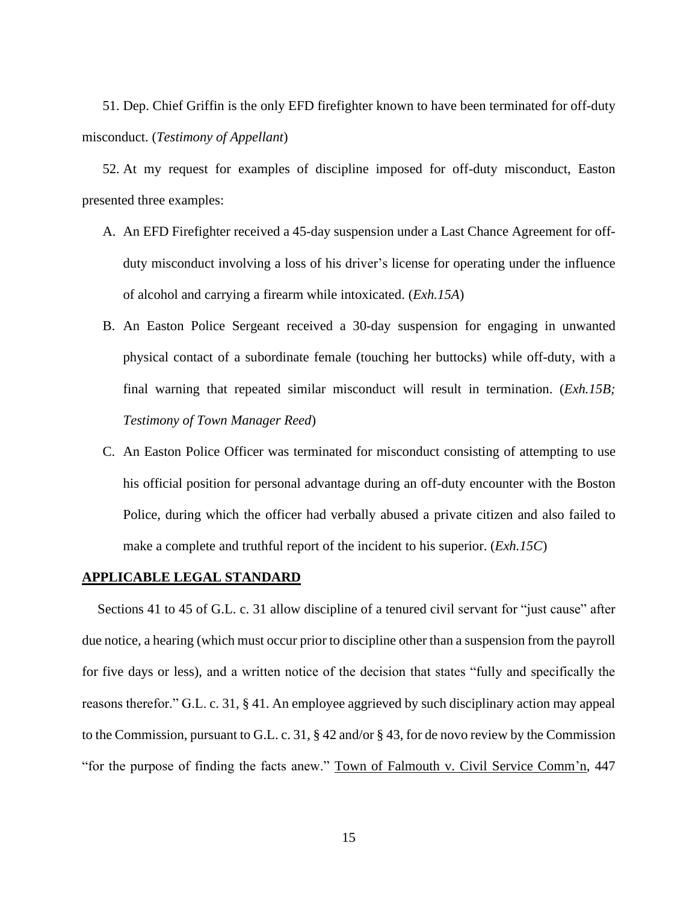51. Dep. Chief Griffin is the only EFD firefighter known to have been terminated for off-duty misconduct. (*Testimony of Appellant*)

52. At my request for examples of discipline imposed for off-duty misconduct, Easton presented three examples:

- A. An EFD Firefighter received a 45-day suspension under a Last Chance Agreement for offduty misconduct involving a loss of his driver's license for operating under the influence of alcohol and carrying a firearm while intoxicated. (*Exh.15A*)
- B. An Easton Police Sergeant received a 30-day suspension for engaging in unwanted physical contact of a subordinate female (touching her buttocks) while off-duty, with a final warning that repeated similar misconduct will result in termination. (*Exh.15B; Testimony of Town Manager Reed*)
- C. An Easton Police Officer was terminated for misconduct consisting of attempting to use his official position for personal advantage during an off-duty encounter with the Boston Police, during which the officer had verbally abused a private citizen and also failed to make a complete and truthful report of the incident to his superior. (*Exh.15C*)

#### **APPLICABLE LEGAL STANDARD**

Sections 41 to 45 of G.L. c. 31 allow discipline of a tenured civil servant for "just cause" after due notice, a hearing (which must occur prior to discipline other than a suspension from the payroll for five days or less), and a written notice of the decision that states "fully and specifically the reasons therefor." G.L. c. 31, § 41. An employee aggrieved by such disciplinary action may appeal to the Commission, pursuant to G.L. c. 31, § 42 and/or § 43, for de novo review by the Commission "for the purpose of finding the facts anew." Town of Falmouth v. Civil Service Comm'n, 447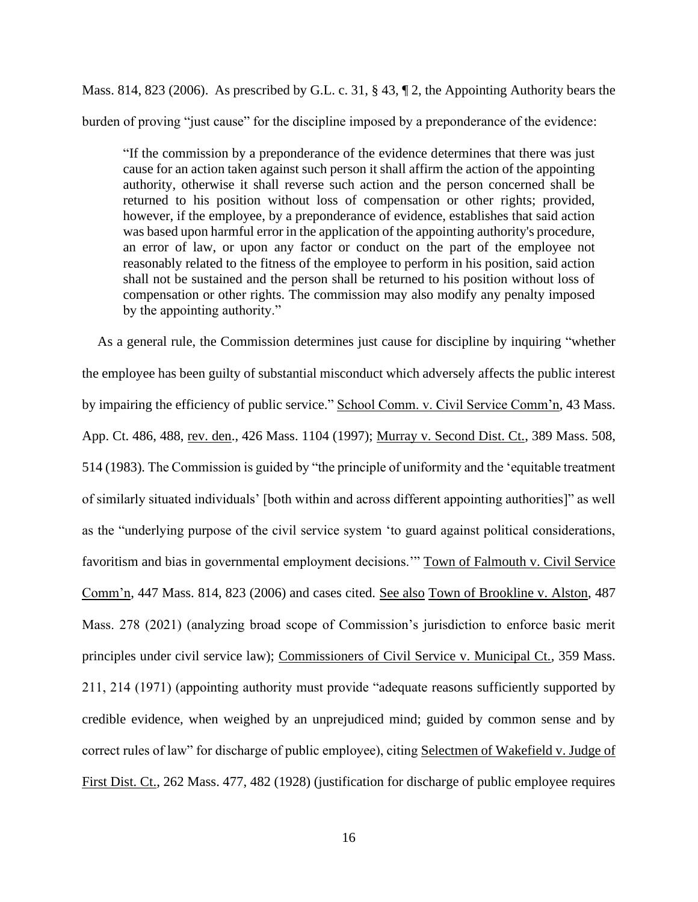Mass. 814, 823 (2006). As prescribed by G.L. c. 31, § 43, ¶ 2, the Appointing Authority bears the burden of proving "just cause" for the discipline imposed by a preponderance of the evidence:

"If the commission by a preponderance of the evidence determines that there was just cause for an action taken against such person it shall affirm the action of the appointing authority, otherwise it shall reverse such action and the person concerned shall be returned to his position without loss of compensation or other rights; provided, however, if the employee, by a preponderance of evidence, establishes that said action was based upon harmful error in the application of the appointing authority's procedure, an error of law, or upon any factor or conduct on the part of the employee not reasonably related to the fitness of the employee to perform in his position, said action shall not be sustained and the person shall be returned to his position without loss of compensation or other rights. The commission may also modify any penalty imposed by the appointing authority."

As a general rule, the Commission determines just cause for discipline by inquiring "whether the employee has been guilty of substantial misconduct which adversely affects the public interest by impairing the efficiency of public service." School Comm. v. Civil Service Comm'n, 43 Mass. App. Ct. 486, 488, rev. den., 426 Mass. 1104 (1997); Murray v. Second Dist. Ct., 389 Mass. 508, 514 (1983). The Commission is guided by "the principle of uniformity and the 'equitable treatment of similarly situated individuals' [both within and across different appointing authorities]" as well as the "underlying purpose of the civil service system 'to guard against political considerations, favoritism and bias in governmental employment decisions.'" Town of Falmouth v. Civil Service Comm'n, 447 Mass. 814, 823 (2006) and cases cited. See also Town of Brookline v. Alston, 487 Mass. 278 (2021) (analyzing broad scope of Commission's jurisdiction to enforce basic merit principles under civil service law); Commissioners of Civil Service v. Municipal Ct., 359 Mass. 211, 214 (1971) (appointing authority must provide "adequate reasons sufficiently supported by credible evidence, when weighed by an unprejudiced mind; guided by common sense and by correct rules of law" for discharge of public employee), citing Selectmen of Wakefield v. Judge of First Dist. Ct., 262 Mass. 477, 482 (1928) (justification for discharge of public employee requires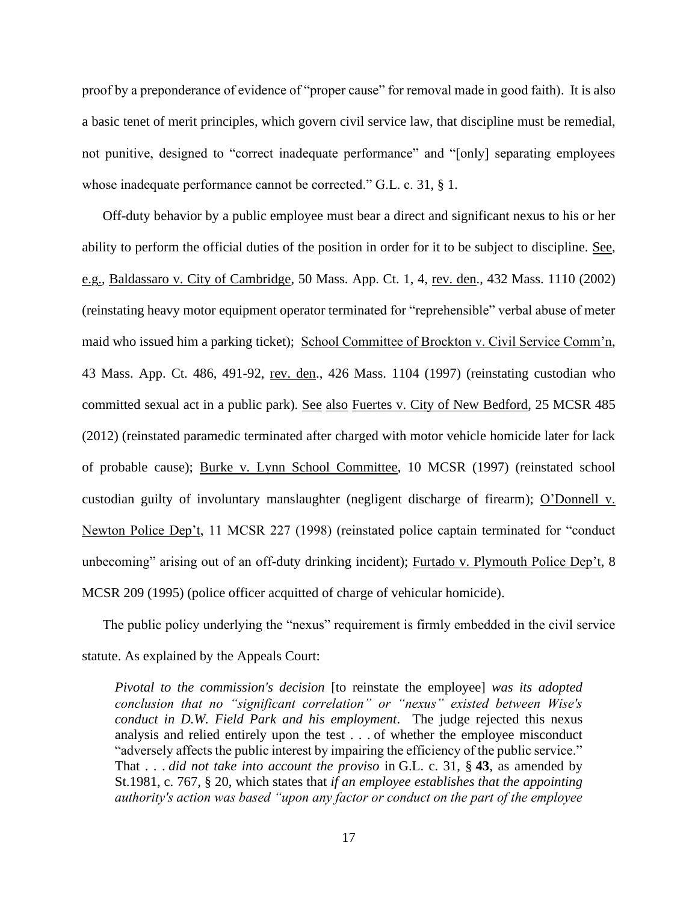proof by a preponderance of evidence of "proper cause" for removal made in good faith). It is also a basic tenet of merit principles, which govern civil service law, that discipline must be remedial, not punitive, designed to "correct inadequate performance" and "[only] separating employees whose inadequate performance cannot be corrected." G.L. c. 31, § 1.

Off-duty behavior by a public employee must bear a direct and significant nexus to his or her ability to perform the official duties of the position in order for it to be subject to discipline. See, e.g., Baldassaro v. City of Cambridge, 50 Mass. App. Ct. 1, 4, rev. den., 432 Mass. 1110 (2002) (reinstating heavy motor equipment operator terminated for "reprehensible" verbal abuse of meter maid who issued him a parking ticket); School Committee of Brockton v. Civil Service Comm'n, 43 Mass. App. Ct. 486, 491-92, rev. den., 426 Mass. 1104 (1997) (reinstating custodian who committed sexual act in a public park). See also Fuertes v. City of New Bedford, 25 MCSR 485 (2012) (reinstated paramedic terminated after charged with motor vehicle homicide later for lack of probable cause); Burke v. Lynn School Committee, 10 MCSR (1997) (reinstated school custodian guilty of involuntary manslaughter (negligent discharge of firearm); O'Donnell v. Newton Police Dep't, 11 MCSR 227 (1998) (reinstated police captain terminated for "conduct unbecoming" arising out of an off-duty drinking incident); Furtado v. Plymouth Police Dep't, 8 MCSR 209 (1995) (police officer acquitted of charge of vehicular homicide).

The public policy underlying the "nexus" requirement is firmly embedded in the civil service statute. As explained by the Appeals Court:

*Pivotal to the commission's decision* [to reinstate the employee] *was its adopted conclusion that no "significant correlation" or "nexus" existed between Wise's conduct in D.W. Field Park and his employment*. The judge rejected this nexus analysis and relied entirely upon the test . . . of whether the employee misconduct "adversely affects the public interest by impairing the efficiency of the public service." That . . . *did not take into account the proviso* in [G.L. c. 31, §](https://1.next.westlaw.com/Link/Document/FullText?findType=L&pubNum=1000042&cite=MAST31S43&originatingDoc=If42c210ed3be11d98ac8f235252e36df&refType=LQ&originationContext=document&transitionType=DocumentItem&ppcid=9847ccd7398a4f4498c55063279c55a7&contextData=(sc.Search)) **43**, as amended by St.1981, c. 767, § 20, which states that *if an employee establishes that the appointing authority's action was based "upon any factor or conduct on the part of the employee*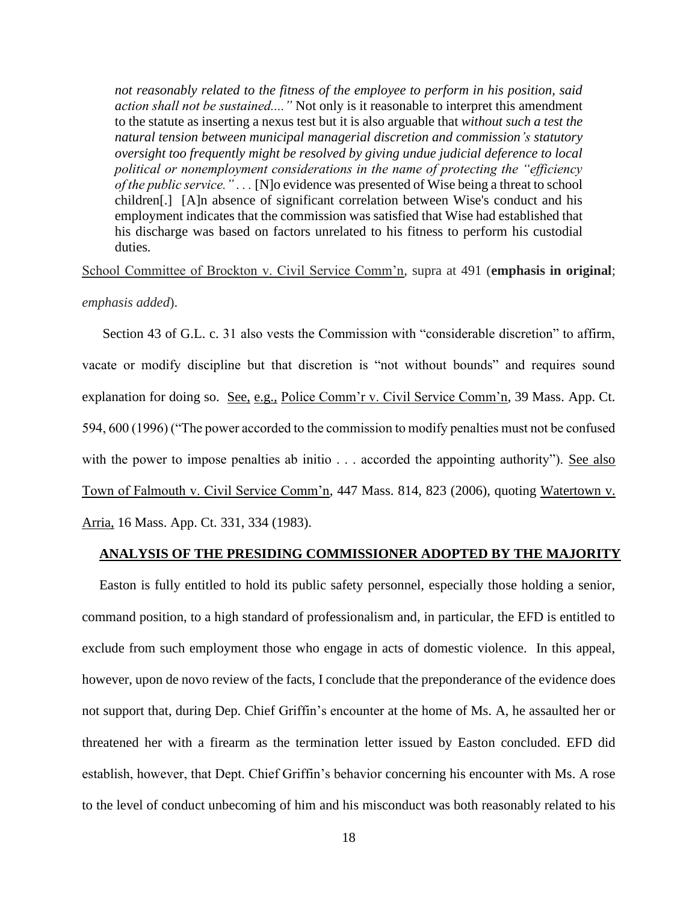*not reasonably related to the fitness of the employee to perform in his position, said action shall not be sustained...."* Not only is it reasonable to interpret this amendment to the statute as inserting a nexus test but it is also arguable that *without such a test the natural tension between municipal managerial discretion and commission's statutory oversight too frequently might be resolved by giving undue judicial deference to local political or nonemployment considerations in the name of protecting the "efficiency of the public service." . . .* [N]o evidence was presented of Wise being a threat to school children[.] [A]n absence of significant correlation between Wise's conduct and his employment indicates that the commission was satisfied that Wise had established that his discharge was based on factors unrelated to his fitness to perform his custodial duties*.*

School Committee of Brockton v. Civil Service Comm'n, supra at 491 (**emphasis in original**;

*emphasis added*).

Section 43 of G.L. c. 31 also vests the Commission with "considerable discretion" to affirm, vacate or modify discipline but that discretion is "not without bounds" and requires sound explanation for doing so. See, e.g., Police Comm'r v. Civil Service Comm'n, 39 Mass. App. Ct. 594, 600 (1996) ("The power accorded to the commission to modify penalties must not be confused with the power to impose penalties ab initio . . . accorded the appointing authority"). See also Town of Falmouth v. Civil Service Comm'n, 447 Mass. 814, 823 (2006), quoting Watertown v. Arria, 16 Mass. App. Ct. 331, 334 (1983).

## **ANALYSIS OF THE PRESIDING COMMISSIONER ADOPTED BY THE MAJORITY**

Easton is fully entitled to hold its public safety personnel, especially those holding a senior, command position, to a high standard of professionalism and, in particular, the EFD is entitled to exclude from such employment those who engage in acts of domestic violence. In this appeal, however, upon de novo review of the facts, I conclude that the preponderance of the evidence does not support that, during Dep. Chief Griffin's encounter at the home of Ms. A, he assaulted her or threatened her with a firearm as the termination letter issued by Easton concluded. EFD did establish, however, that Dept. Chief Griffin's behavior concerning his encounter with Ms. A rose to the level of conduct unbecoming of him and his misconduct was both reasonably related to his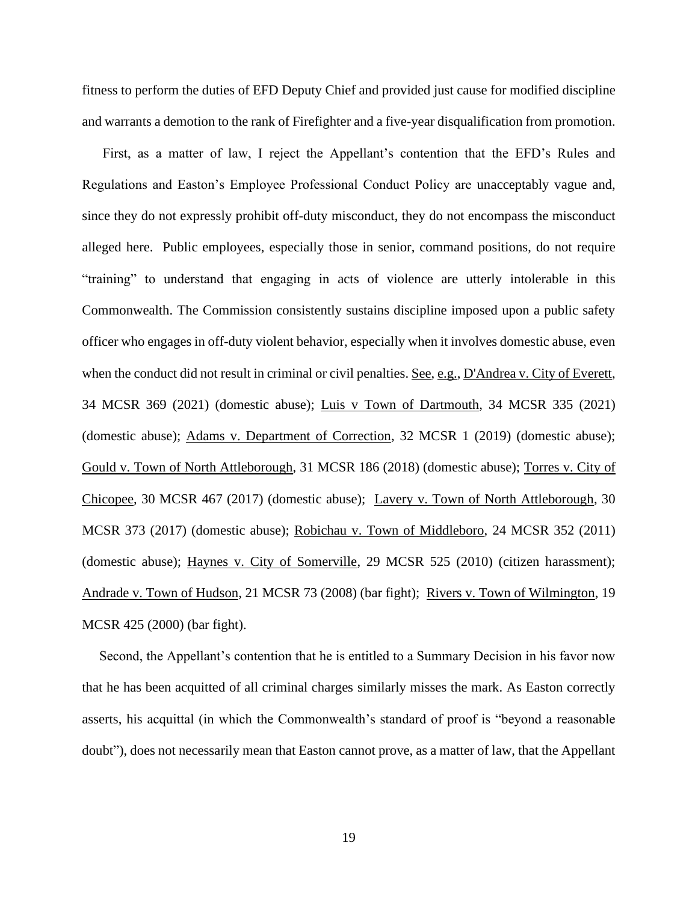fitness to perform the duties of EFD Deputy Chief and provided just cause for modified discipline and warrants a demotion to the rank of Firefighter and a five-year disqualification from promotion.

First, as a matter of law, I reject the Appellant's contention that the EFD's Rules and Regulations and Easton's Employee Professional Conduct Policy are unacceptably vague and, since they do not expressly prohibit off-duty misconduct, they do not encompass the misconduct alleged here. Public employees, especially those in senior, command positions, do not require "training" to understand that engaging in acts of violence are utterly intolerable in this Commonwealth. The Commission consistently sustains discipline imposed upon a public safety officer who engages in off-duty violent behavior, especially when it involves domestic abuse, even when the conduct did not result in criminal or civil penalties. See, e.g., D'Andrea v. City of Everett, 34 MCSR 369 (2021) (domestic abuse); Luis v Town of Dartmouth, 34 MCSR 335 (2021) (domestic abuse); Adams v. Department of Correction, 32 MCSR 1 (2019) (domestic abuse); Gould v. Town of North Attleborough, 31 MCSR 186 (2018) (domestic abuse); Torres v. City of Chicopee, 30 MCSR 467 (2017) (domestic abuse); Lavery v. Town of North Attleborough, 30 MCSR 373 (2017) (domestic abuse); Robichau v. Town of Middleboro, 24 MCSR 352 (2011) (domestic abuse); Haynes v. City of Somerville, 29 MCSR 525 (2010) (citizen harassment); Andrade v. Town of Hudson, 21 MCSR 73 (2008) (bar fight); Rivers v. Town of Wilmington, 19 MCSR 425 (2000) (bar fight).

Second, the Appellant's contention that he is entitled to a Summary Decision in his favor now that he has been acquitted of all criminal charges similarly misses the mark. As Easton correctly asserts, his acquittal (in which the Commonwealth's standard of proof is "beyond a reasonable doubt"), does not necessarily mean that Easton cannot prove, as a matter of law, that the Appellant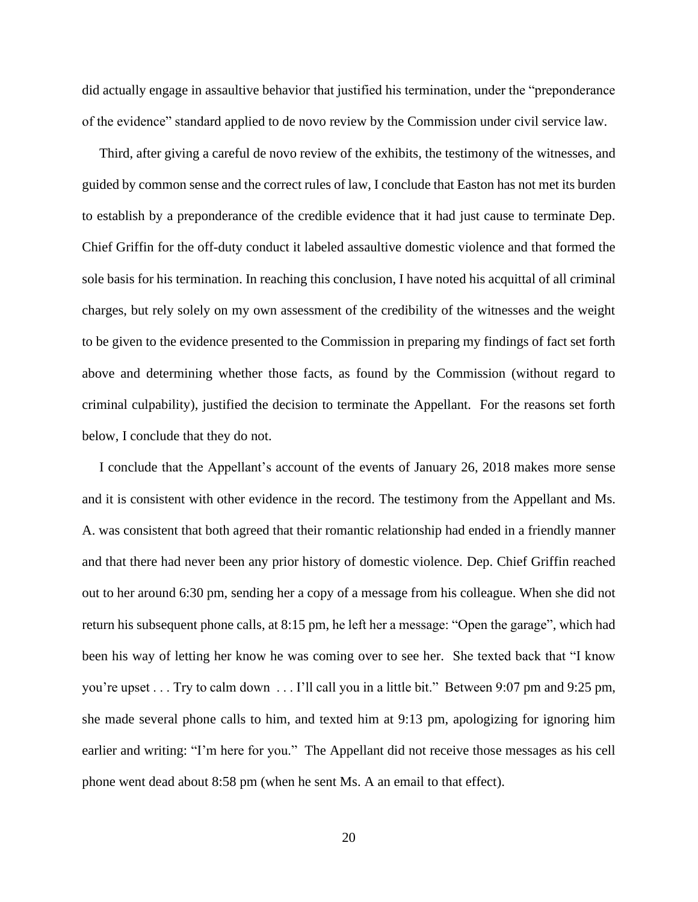did actually engage in assaultive behavior that justified his termination, under the "preponderance of the evidence" standard applied to de novo review by the Commission under civil service law.

Third, after giving a careful de novo review of the exhibits, the testimony of the witnesses, and guided by common sense and the correct rules of law, I conclude that Easton has not met its burden to establish by a preponderance of the credible evidence that it had just cause to terminate Dep. Chief Griffin for the off-duty conduct it labeled assaultive domestic violence and that formed the sole basis for his termination. In reaching this conclusion, I have noted his acquittal of all criminal charges, but rely solely on my own assessment of the credibility of the witnesses and the weight to be given to the evidence presented to the Commission in preparing my findings of fact set forth above and determining whether those facts, as found by the Commission (without regard to criminal culpability), justified the decision to terminate the Appellant. For the reasons set forth below, I conclude that they do not.

I conclude that the Appellant's account of the events of January 26, 2018 makes more sense and it is consistent with other evidence in the record. The testimony from the Appellant and Ms. A. was consistent that both agreed that their romantic relationship had ended in a friendly manner and that there had never been any prior history of domestic violence. Dep. Chief Griffin reached out to her around 6:30 pm, sending her a copy of a message from his colleague. When she did not return his subsequent phone calls, at 8:15 pm, he left her a message: "Open the garage", which had been his way of letting her know he was coming over to see her. She texted back that "I know you're upset . . . Try to calm down . . . I'll call you in a little bit." Between 9:07 pm and 9:25 pm, she made several phone calls to him, and texted him at 9:13 pm, apologizing for ignoring him earlier and writing: "I'm here for you." The Appellant did not receive those messages as his cell phone went dead about 8:58 pm (when he sent Ms. A an email to that effect).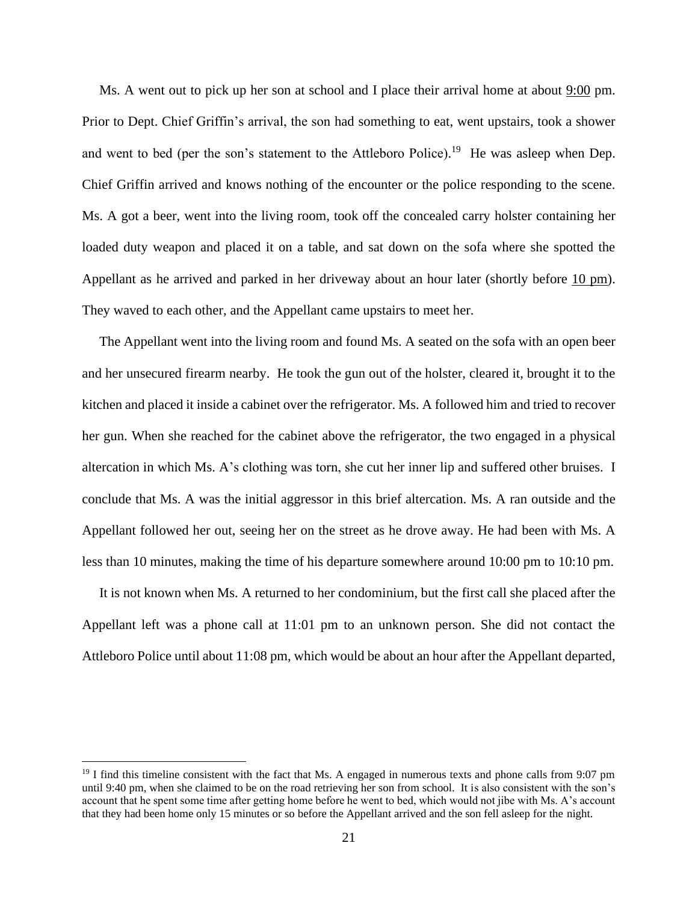Ms. A went out to pick up her son at school and I place their arrival home at about  $9:00$  pm. Prior to Dept. Chief Griffin's arrival, the son had something to eat, went upstairs, took a shower and went to bed (per the son's statement to the Attleboro Police).<sup>19</sup> He was asleep when Dep. Chief Griffin arrived and knows nothing of the encounter or the police responding to the scene. Ms. A got a beer, went into the living room, took off the concealed carry holster containing her loaded duty weapon and placed it on a table, and sat down on the sofa where she spotted the Appellant as he arrived and parked in her driveway about an hour later (shortly before 10 pm). They waved to each other, and the Appellant came upstairs to meet her.

The Appellant went into the living room and found Ms. A seated on the sofa with an open beer and her unsecured firearm nearby. He took the gun out of the holster, cleared it, brought it to the kitchen and placed it inside a cabinet over the refrigerator. Ms. A followed him and tried to recover her gun. When she reached for the cabinet above the refrigerator, the two engaged in a physical altercation in which Ms. A's clothing was torn, she cut her inner lip and suffered other bruises. I conclude that Ms. A was the initial aggressor in this brief altercation. Ms. A ran outside and the Appellant followed her out, seeing her on the street as he drove away. He had been with Ms. A less than 10 minutes, making the time of his departure somewhere around 10:00 pm to 10:10 pm.

It is not known when Ms. A returned to her condominium, but the first call she placed after the Appellant left was a phone call at 11:01 pm to an unknown person. She did not contact the Attleboro Police until about 11:08 pm, which would be about an hour after the Appellant departed,

 $19$  I find this timeline consistent with the fact that Ms. A engaged in numerous texts and phone calls from 9:07 pm until 9:40 pm, when she claimed to be on the road retrieving her son from school. It is also consistent with the son's account that he spent some time after getting home before he went to bed, which would not jibe with Ms. A's account that they had been home only 15 minutes or so before the Appellant arrived and the son fell asleep for the night.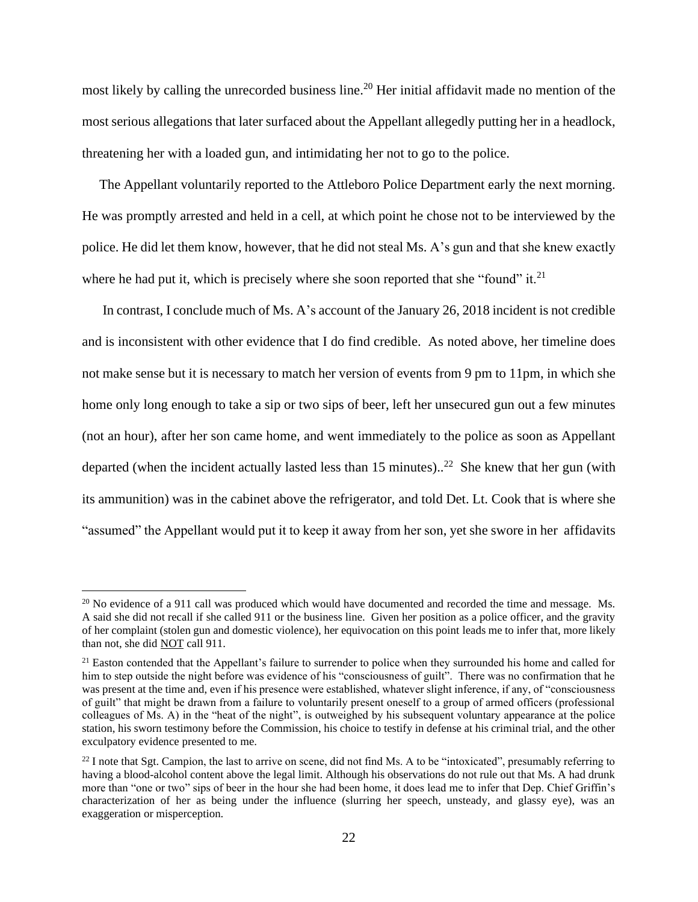most likely by calling the unrecorded business line.<sup>20</sup> Her initial affidavit made no mention of the most serious allegations that later surfaced about the Appellant allegedly putting her in a headlock, threatening her with a loaded gun, and intimidating her not to go to the police.

The Appellant voluntarily reported to the Attleboro Police Department early the next morning. He was promptly arrested and held in a cell, at which point he chose not to be interviewed by the police. He did let them know, however, that he did not steal Ms. A's gun and that she knew exactly where he had put it, which is precisely where she soon reported that she "found" it. $^{21}$ 

In contrast, I conclude much of Ms. A's account of the January 26, 2018 incident is not credible and is inconsistent with other evidence that I do find credible. As noted above, her timeline does not make sense but it is necessary to match her version of events from 9 pm to 11pm, in which she home only long enough to take a sip or two sips of beer, left her unsecured gun out a few minutes (not an hour), after her son came home, and went immediately to the police as soon as Appellant departed (when the incident actually lasted less than 15 minutes)..<sup>22</sup> She knew that her gun (with its ammunition) was in the cabinet above the refrigerator, and told Det. Lt. Cook that is where she "assumed" the Appellant would put it to keep it away from her son, yet she swore in her affidavits

 $^{20}$  No evidence of a 911 call was produced which would have documented and recorded the time and message. Ms. A said she did not recall if she called 911 or the business line. Given her position as a police officer, and the gravity of her complaint (stolen gun and domestic violence), her equivocation on this point leads me to infer that, more likely than not, she did NOT call 911.

<sup>&</sup>lt;sup>21</sup> Easton contended that the Appellant's failure to surrender to police when they surrounded his home and called for him to step outside the night before was evidence of his "consciousness of guilt". There was no confirmation that he was present at the time and, even if his presence were established, whatever slight inference, if any, of "consciousness" of guilt" that might be drawn from a failure to voluntarily present oneself to a group of armed officers (professional colleagues of Ms. A) in the "heat of the night", is outweighed by his subsequent voluntary appearance at the police station, his sworn testimony before the Commission, his choice to testify in defense at his criminal trial, and the other exculpatory evidence presented to me.

 $^{22}$  I note that Sgt. Campion, the last to arrive on scene, did not find Ms. A to be "intoxicated", presumably referring to having a blood-alcohol content above the legal limit. Although his observations do not rule out that Ms. A had drunk more than "one or two" sips of beer in the hour she had been home, it does lead me to infer that Dep. Chief Griffin's characterization of her as being under the influence (slurring her speech, unsteady, and glassy eye), was an exaggeration or misperception.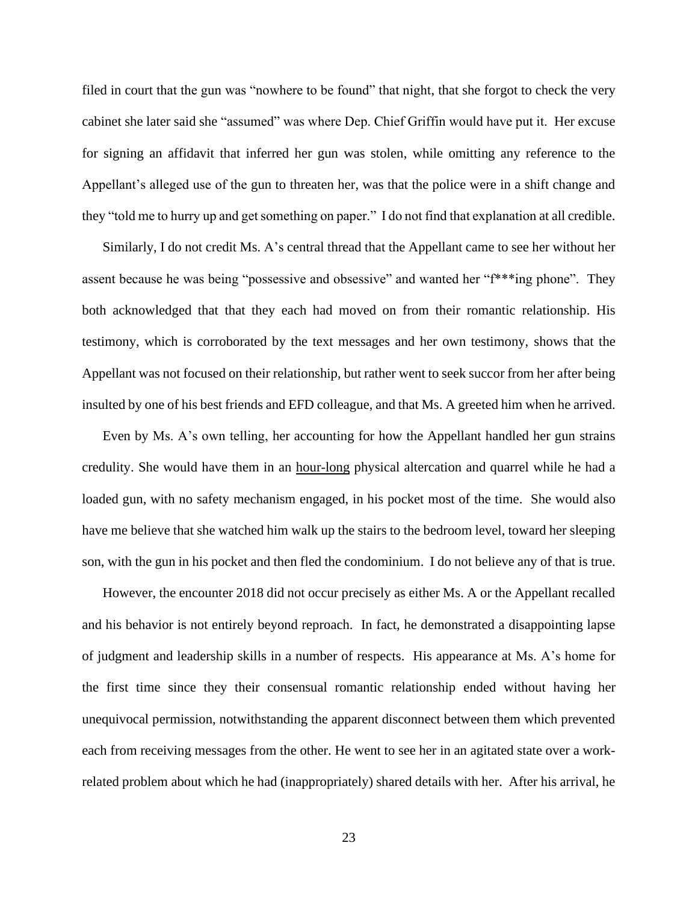filed in court that the gun was "nowhere to be found" that night, that she forgot to check the very cabinet she later said she "assumed" was where Dep. Chief Griffin would have put it. Her excuse for signing an affidavit that inferred her gun was stolen, while omitting any reference to the Appellant's alleged use of the gun to threaten her, was that the police were in a shift change and they "told me to hurry up and get something on paper." I do not find that explanation at all credible.

Similarly, I do not credit Ms. A's central thread that the Appellant came to see her without her assent because he was being "possessive and obsessive" and wanted her "f\*\*\*ing phone". They both acknowledged that that they each had moved on from their romantic relationship. His testimony, which is corroborated by the text messages and her own testimony, shows that the Appellant was not focused on their relationship, but rather went to seek succor from her after being insulted by one of his best friends and EFD colleague, and that Ms. A greeted him when he arrived.

Even by Ms. A's own telling, her accounting for how the Appellant handled her gun strains credulity. She would have them in an hour-long physical altercation and quarrel while he had a loaded gun, with no safety mechanism engaged, in his pocket most of the time. She would also have me believe that she watched him walk up the stairs to the bedroom level, toward her sleeping son, with the gun in his pocket and then fled the condominium. I do not believe any of that is true.

However, the encounter 2018 did not occur precisely as either Ms. A or the Appellant recalled and his behavior is not entirely beyond reproach. In fact, he demonstrated a disappointing lapse of judgment and leadership skills in a number of respects. His appearance at Ms. A's home for the first time since they their consensual romantic relationship ended without having her unequivocal permission, notwithstanding the apparent disconnect between them which prevented each from receiving messages from the other. He went to see her in an agitated state over a workrelated problem about which he had (inappropriately) shared details with her. After his arrival, he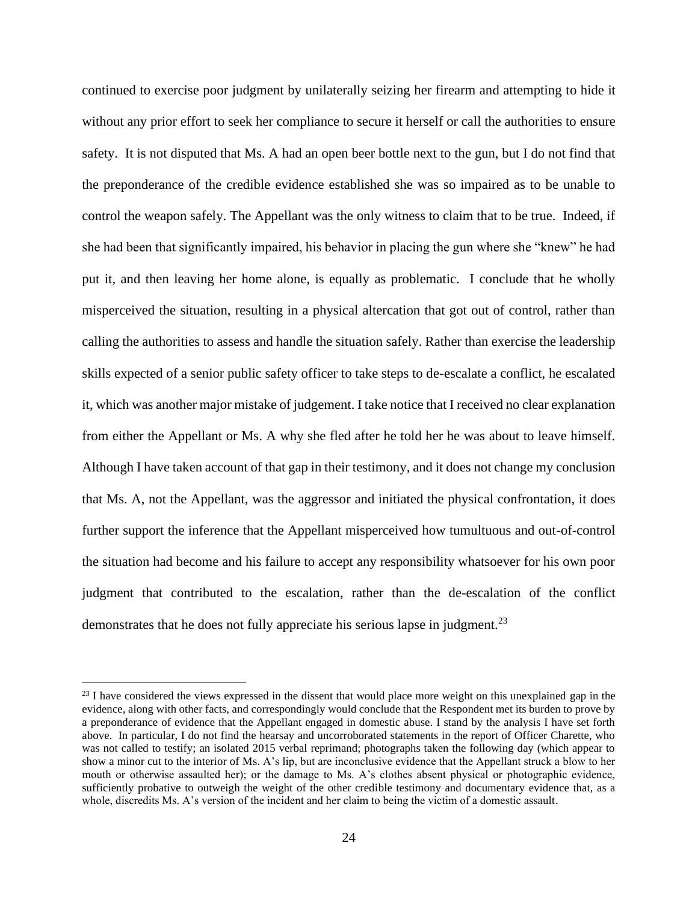continued to exercise poor judgment by unilaterally seizing her firearm and attempting to hide it without any prior effort to seek her compliance to secure it herself or call the authorities to ensure safety. It is not disputed that Ms. A had an open beer bottle next to the gun, but I do not find that the preponderance of the credible evidence established she was so impaired as to be unable to control the weapon safely. The Appellant was the only witness to claim that to be true. Indeed, if she had been that significantly impaired, his behavior in placing the gun where she "knew" he had put it, and then leaving her home alone, is equally as problematic. I conclude that he wholly misperceived the situation, resulting in a physical altercation that got out of control, rather than calling the authorities to assess and handle the situation safely. Rather than exercise the leadership skills expected of a senior public safety officer to take steps to de-escalate a conflict, he escalated it, which was another major mistake of judgement. I take notice that I received no clear explanation from either the Appellant or Ms. A why she fled after he told her he was about to leave himself. Although I have taken account of that gap in their testimony, and it does not change my conclusion that Ms. A, not the Appellant, was the aggressor and initiated the physical confrontation, it does further support the inference that the Appellant misperceived how tumultuous and out-of-control the situation had become and his failure to accept any responsibility whatsoever for his own poor judgment that contributed to the escalation, rather than the de-escalation of the conflict demonstrates that he does not fully appreciate his serious lapse in judgment.<sup>23</sup>

 $23$  I have considered the views expressed in the dissent that would place more weight on this unexplained gap in the evidence, along with other facts, and correspondingly would conclude that the Respondent met its burden to prove by a preponderance of evidence that the Appellant engaged in domestic abuse. I stand by the analysis I have set forth above. In particular, I do not find the hearsay and uncorroborated statements in the report of Officer Charette, who was not called to testify; an isolated 2015 verbal reprimand; photographs taken the following day (which appear to show a minor cut to the interior of Ms. A's lip, but are inconclusive evidence that the Appellant struck a blow to her mouth or otherwise assaulted her); or the damage to Ms. A's clothes absent physical or photographic evidence, sufficiently probative to outweigh the weight of the other credible testimony and documentary evidence that, as a whole, discredits Ms. A's version of the incident and her claim to being the victim of a domestic assault.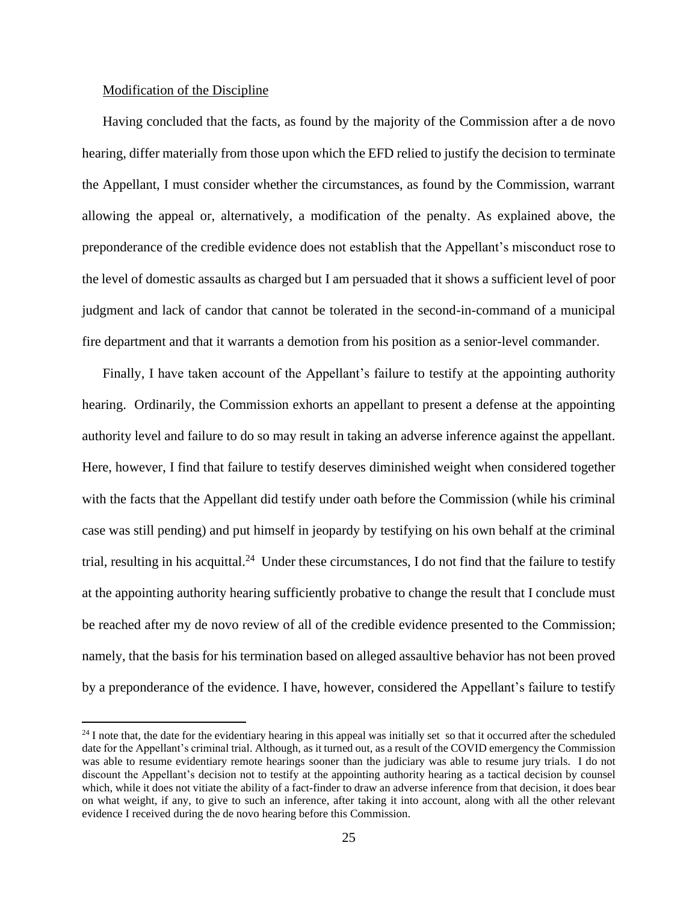## Modification of the Discipline

Having concluded that the facts, as found by the majority of the Commission after a de novo hearing, differ materially from those upon which the EFD relied to justify the decision to terminate the Appellant, I must consider whether the circumstances, as found by the Commission, warrant allowing the appeal or, alternatively, a modification of the penalty. As explained above, the preponderance of the credible evidence does not establish that the Appellant's misconduct rose to the level of domestic assaults as charged but I am persuaded that it shows a sufficient level of poor judgment and lack of candor that cannot be tolerated in the second-in-command of a municipal fire department and that it warrants a demotion from his position as a senior-level commander.

Finally, I have taken account of the Appellant's failure to testify at the appointing authority hearing. Ordinarily, the Commission exhorts an appellant to present a defense at the appointing authority level and failure to do so may result in taking an adverse inference against the appellant. Here, however, I find that failure to testify deserves diminished weight when considered together with the facts that the Appellant did testify under oath before the Commission (while his criminal case was still pending) and put himself in jeopardy by testifying on his own behalf at the criminal trial, resulting in his acquittal.<sup>24</sup> Under these circumstances, I do not find that the failure to testify at the appointing authority hearing sufficiently probative to change the result that I conclude must be reached after my de novo review of all of the credible evidence presented to the Commission; namely, that the basis for his termination based on alleged assaultive behavior has not been proved by a preponderance of the evidence. I have, however, considered the Appellant's failure to testify

 $^{24}$  I note that, the date for the evidentiary hearing in this appeal was initially set so that it occurred after the scheduled date for the Appellant's criminal trial. Although, as it turned out, as a result of the COVID emergency the Commission was able to resume evidentiary remote hearings sooner than the judiciary was able to resume jury trials. I do not discount the Appellant's decision not to testify at the appointing authority hearing as a tactical decision by counsel which, while it does not vitiate the ability of a fact-finder to draw an adverse inference from that decision, it does bear on what weight, if any, to give to such an inference, after taking it into account, along with all the other relevant evidence I received during the de novo hearing before this Commission.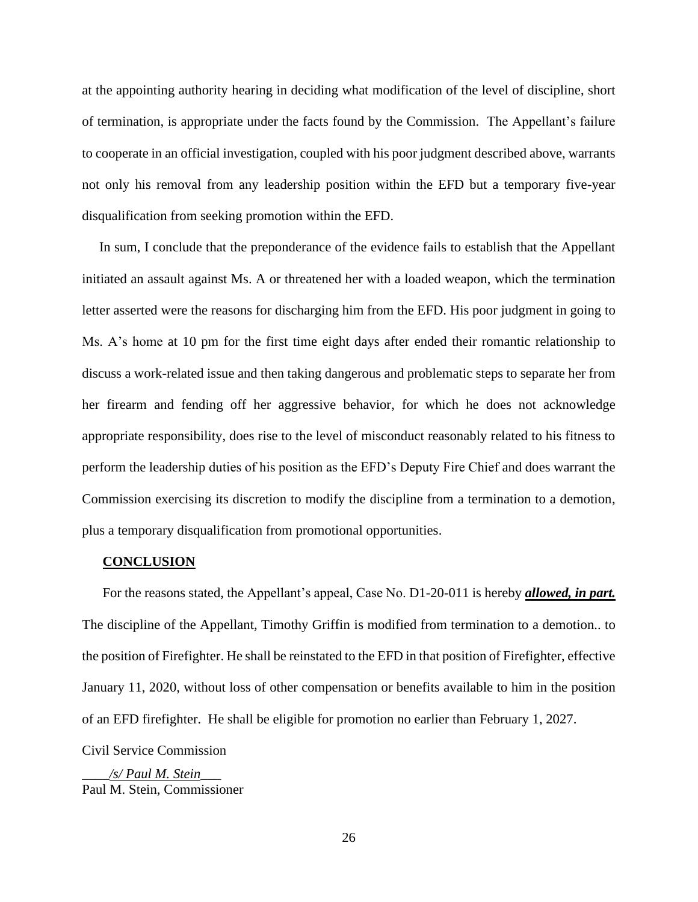at the appointing authority hearing in deciding what modification of the level of discipline, short of termination, is appropriate under the facts found by the Commission. The Appellant's failure to cooperate in an official investigation, coupled with his poor judgment described above, warrants not only his removal from any leadership position within the EFD but a temporary five-year disqualification from seeking promotion within the EFD.

In sum, I conclude that the preponderance of the evidence fails to establish that the Appellant initiated an assault against Ms. A or threatened her with a loaded weapon, which the termination letter asserted were the reasons for discharging him from the EFD. His poor judgment in going to Ms. A's home at 10 pm for the first time eight days after ended their romantic relationship to discuss a work-related issue and then taking dangerous and problematic steps to separate her from her firearm and fending off her aggressive behavior, for which he does not acknowledge appropriate responsibility, does rise to the level of misconduct reasonably related to his fitness to perform the leadership duties of his position as the EFD's Deputy Fire Chief and does warrant the Commission exercising its discretion to modify the discipline from a termination to a demotion, plus a temporary disqualification from promotional opportunities.

#### **CONCLUSION**

For the reasons stated, the Appellant's appeal, Case No. D1-20-011 is hereby *allowed, in part.* The discipline of the Appellant, Timothy Griffin is modified from termination to a demotion.. to the position of Firefighter. He shall be reinstated to the EFD in that position of Firefighter, effective January 11, 2020, without loss of other compensation or benefits available to him in the position of an EFD firefighter. He shall be eligible for promotion no earlier than February 1, 2027. Civil Service Commission

\_\_\_\_*/s/ Paul M. Stein*\_\_\_ Paul M. Stein, Commissioner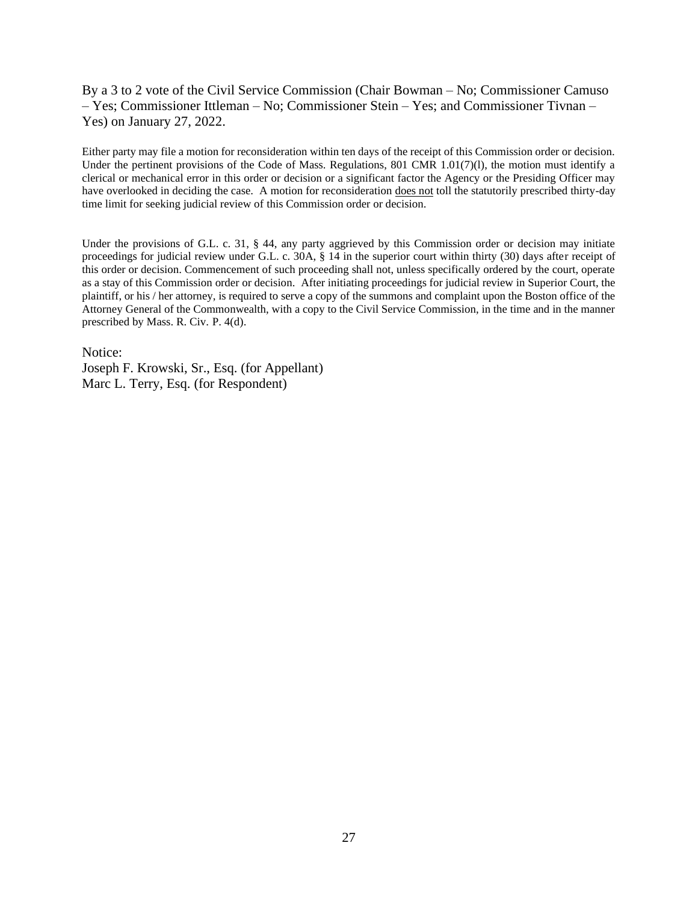By a 3 to 2 vote of the Civil Service Commission (Chair Bowman – No; Commissioner Camuso – Yes; Commissioner Ittleman – No; Commissioner Stein – Yes; and Commissioner Tivnan – Yes) on January 27, 2022.

Either party may file a motion for reconsideration within ten days of the receipt of this Commission order or decision. Under the pertinent provisions of the Code of Mass. Regulations, 801 CMR 1.01(7)(1), the motion must identify a clerical or mechanical error in this order or decision or a significant factor the Agency or the Presiding Officer may have overlooked in deciding the case. A motion for reconsideration does not toll the statutorily prescribed thirty-day time limit for seeking judicial review of this Commission order or decision.

Under the provisions of G.L. c. 31, § 44, any party aggrieved by this Commission order or decision may initiate proceedings for judicial review under G.L. c. 30A, § 14 in the superior court within thirty (30) days after receipt of this order or decision. Commencement of such proceeding shall not, unless specifically ordered by the court, operate as a stay of this Commission order or decision. After initiating proceedings for judicial review in Superior Court, the plaintiff, or his / her attorney, is required to serve a copy of the summons and complaint upon the Boston office of the Attorney General of the Commonwealth, with a copy to the Civil Service Commission, in the time and in the manner prescribed by Mass. R. Civ. P. 4(d).

Notice: Joseph F. Krowski, Sr., Esq. (for Appellant) Marc L. Terry, Esq. (for Respondent)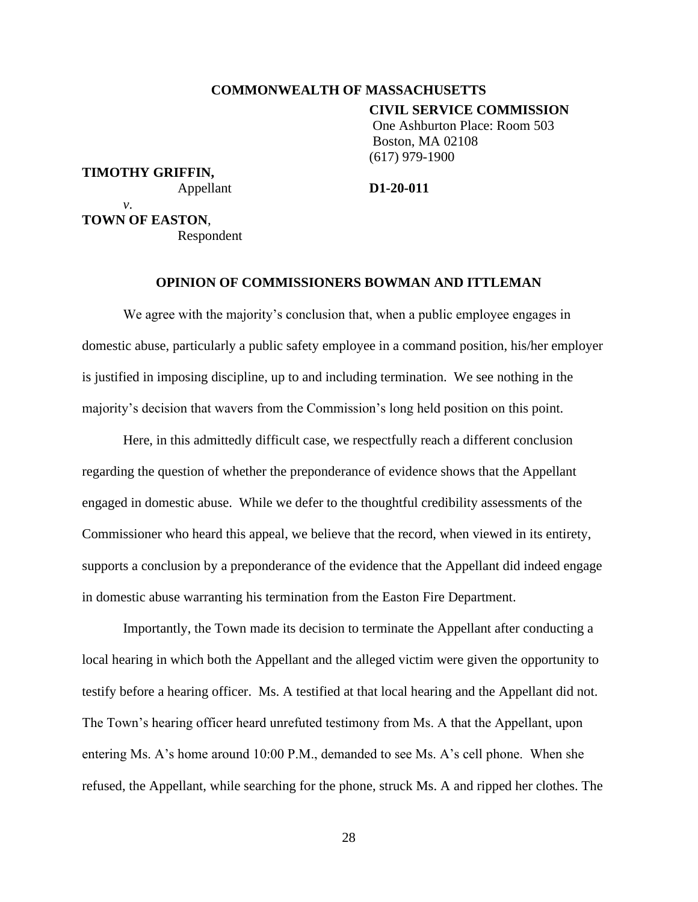# **COMMONWEALTH OF MASSACHUSETTS**

**CIVIL SERVICE COMMISSION**

One Ashburton Place: Room 503 Boston, MA 02108 (617) 979-1900

# **TIMOTHY GRIFFIN,**

Appellant **D1-20-011**

*v*. **TOWN OF EASTON**,

Respondent

## **OPINION OF COMMISSIONERS BOWMAN AND ITTLEMAN**

We agree with the majority's conclusion that, when a public employee engages in domestic abuse, particularly a public safety employee in a command position, his/her employer is justified in imposing discipline, up to and including termination. We see nothing in the majority's decision that wavers from the Commission's long held position on this point.

Here, in this admittedly difficult case, we respectfully reach a different conclusion regarding the question of whether the preponderance of evidence shows that the Appellant engaged in domestic abuse. While we defer to the thoughtful credibility assessments of the Commissioner who heard this appeal, we believe that the record, when viewed in its entirety, supports a conclusion by a preponderance of the evidence that the Appellant did indeed engage in domestic abuse warranting his termination from the Easton Fire Department.

Importantly, the Town made its decision to terminate the Appellant after conducting a local hearing in which both the Appellant and the alleged victim were given the opportunity to testify before a hearing officer. Ms. A testified at that local hearing and the Appellant did not. The Town's hearing officer heard unrefuted testimony from Ms. A that the Appellant, upon entering Ms. A's home around 10:00 P.M., demanded to see Ms. A's cell phone. When she refused, the Appellant, while searching for the phone, struck Ms. A and ripped her clothes. The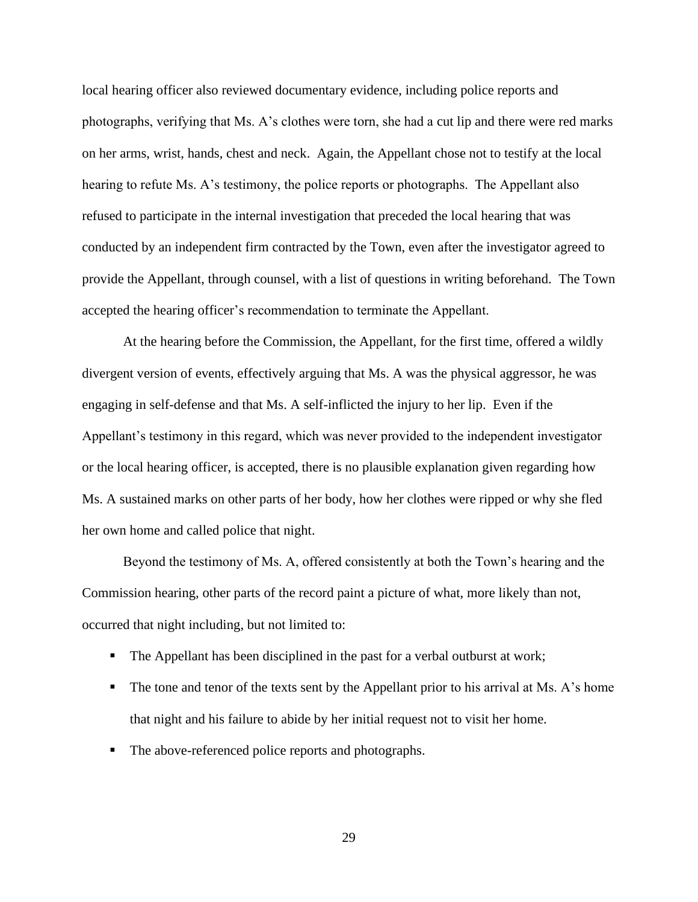local hearing officer also reviewed documentary evidence, including police reports and photographs, verifying that Ms. A's clothes were torn, she had a cut lip and there were red marks on her arms, wrist, hands, chest and neck. Again, the Appellant chose not to testify at the local hearing to refute Ms. A's testimony, the police reports or photographs. The Appellant also refused to participate in the internal investigation that preceded the local hearing that was conducted by an independent firm contracted by the Town, even after the investigator agreed to provide the Appellant, through counsel, with a list of questions in writing beforehand. The Town accepted the hearing officer's recommendation to terminate the Appellant.

At the hearing before the Commission, the Appellant, for the first time, offered a wildly divergent version of events, effectively arguing that Ms. A was the physical aggressor, he was engaging in self-defense and that Ms. A self-inflicted the injury to her lip. Even if the Appellant's testimony in this regard, which was never provided to the independent investigator or the local hearing officer, is accepted, there is no plausible explanation given regarding how Ms. A sustained marks on other parts of her body, how her clothes were ripped or why she fled her own home and called police that night.

Beyond the testimony of Ms. A, offered consistently at both the Town's hearing and the Commission hearing, other parts of the record paint a picture of what, more likely than not, occurred that night including, but not limited to:

- The Appellant has been disciplined in the past for a verbal outburst at work;
- The tone and tenor of the texts sent by the Appellant prior to his arrival at Ms. A's home that night and his failure to abide by her initial request not to visit her home.
- The above-referenced police reports and photographs.

29